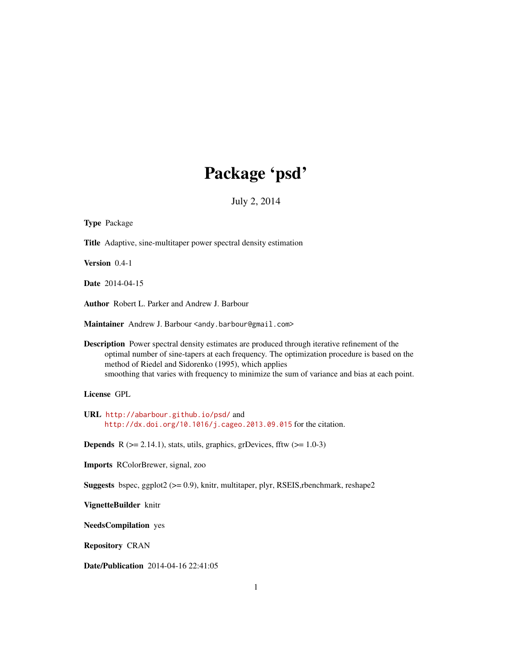# Package 'psd'

July 2, 2014

| <b>Type Package</b>                                                                                                                                                                                                                                                                                                                                         |
|-------------------------------------------------------------------------------------------------------------------------------------------------------------------------------------------------------------------------------------------------------------------------------------------------------------------------------------------------------------|
| Title Adaptive, sine-multitaper power spectral density estimation                                                                                                                                                                                                                                                                                           |
| Version 0.4-1                                                                                                                                                                                                                                                                                                                                               |
| <b>Date</b> 2014-04-15                                                                                                                                                                                                                                                                                                                                      |
| Author Robert L. Parker and Andrew J. Barbour                                                                                                                                                                                                                                                                                                               |
| Maintainer Andrew J. Barbour <andy.barbour@gmail.com></andy.barbour@gmail.com>                                                                                                                                                                                                                                                                              |
| <b>Description</b> Power spectral density estimates are produced through iterative refinement of the<br>optimal number of sine-tapers at each frequency. The optimization procedure is based on the<br>method of Riedel and Sidorenko (1995), which applies<br>smoothing that varies with frequency to minimize the sum of variance and bias at each point. |
| License GPL                                                                                                                                                                                                                                                                                                                                                 |
| URL http://abarbour.github.io/psd/and<br>http://dx.doi.org/10.1016/j.cageo.2013.09.015 for the citation.                                                                                                                                                                                                                                                    |
| <b>Depends</b> R ( $>= 2.14.1$ ), stats, utils, graphics, grDevices, fftw ( $>= 1.0-3$ )                                                                                                                                                                                                                                                                    |
| Imports RColorBrewer, signal, zoo                                                                                                                                                                                                                                                                                                                           |
| <b>Suggests</b> bspec, ggplot2 ( $> = 0.9$ ), knitr, multitaper, plyr, RSEIS, rbenchmark, reshape2                                                                                                                                                                                                                                                          |
| VignetteBuilder knitr                                                                                                                                                                                                                                                                                                                                       |
| <b>NeedsCompilation</b> yes                                                                                                                                                                                                                                                                                                                                 |
| <b>Repository CRAN</b>                                                                                                                                                                                                                                                                                                                                      |
| Date/Publication 2014-04-16 22:41:05                                                                                                                                                                                                                                                                                                                        |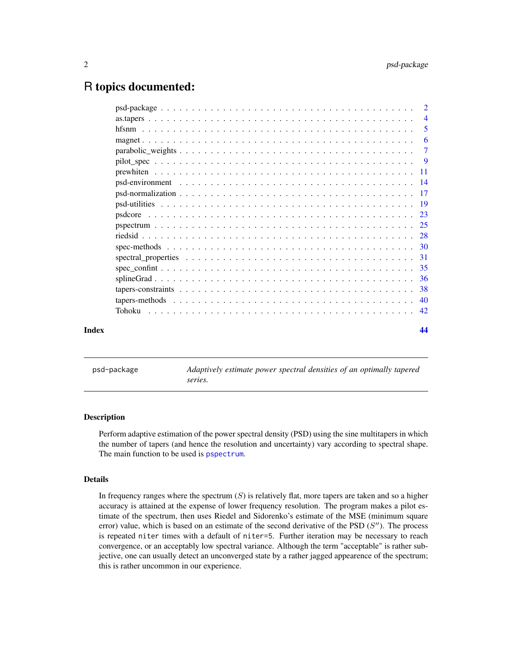## <span id="page-1-0"></span>R topics documented:

| Index | 44             |
|-------|----------------|
|       | 42             |
|       | 40             |
|       | 38             |
|       |                |
|       | 35             |
|       |                |
|       |                |
|       |                |
|       |                |
|       |                |
|       | -19            |
|       |                |
|       |                |
|       | -11            |
|       | -9             |
|       | $\tau$         |
|       | 6              |
|       | 5              |
|       | $\overline{4}$ |
|       | $\overline{2}$ |

psd-package *Adaptively estimate power spectral densities of an optimally tapered series.*

#### Description

Perform adaptive estimation of the power spectral density (PSD) using the sine multitapers in which the number of tapers (and hence the resolution and uncertainty) vary according to spectral shape. The main function to be used is [pspectrum](#page-24-1).

### Details

In frequency ranges where the spectrum  $(S)$  is relatively flat, more tapers are taken and so a higher accuracy is attained at the expense of lower frequency resolution. The program makes a pilot estimate of the spectrum, then uses Riedel and Sidorenko's estimate of the MSE (minimum square error) value, which is based on an estimate of the second derivative of the PSD  $(S'')$ . The process is repeated niter times with a default of niter=5. Further iteration may be necessary to reach convergence, or an acceptably low spectral variance. Although the term "acceptable" is rather subjective, one can usually detect an unconverged state by a rather jagged appearence of the spectrum; this is rather uncommon in our experience.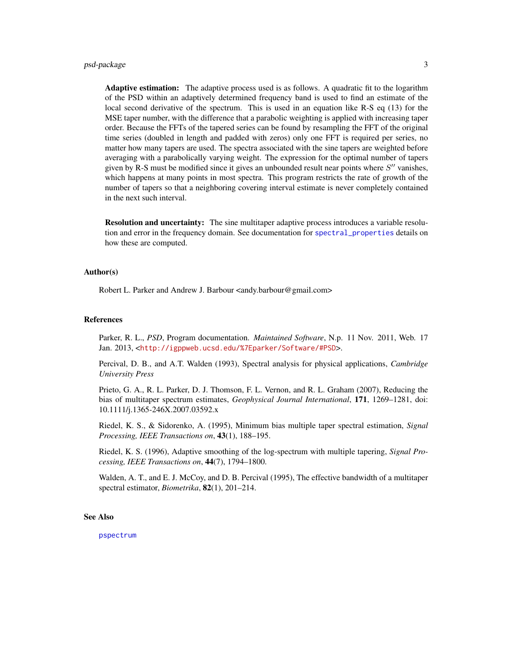<span id="page-2-0"></span>Adaptive estimation: The adaptive process used is as follows. A quadratic fit to the logarithm of the PSD within an adaptively determined frequency band is used to find an estimate of the local second derivative of the spectrum. This is used in an equation like R-S eq (13) for the MSE taper number, with the difference that a parabolic weighting is applied with increasing taper order. Because the FFTs of the tapered series can be found by resampling the FFT of the original time series (doubled in length and padded with zeros) only one FFT is required per series, no matter how many tapers are used. The spectra associated with the sine tapers are weighted before averaging with a parabolically varying weight. The expression for the optimal number of tapers given by R-S must be modified since it gives an unbounded result near points where  $S''$  vanishes, which happens at many points in most spectra. This program restricts the rate of growth of the number of tapers so that a neighboring covering interval estimate is never completely contained in the next such interval.

Resolution and uncertainty: The sine multitaper adaptive process introduces a variable resolution and error in the frequency domain. See documentation for [spectral\\_properties](#page-30-1) details on how these are computed.

### Author(s)

Robert L. Parker and Andrew J. Barbour <andy.barbour@gmail.com>

#### **References**

Parker, R. L., *PSD*, Program documentation. *Maintained Software*, N.p. 11 Nov. 2011, Web. 17 Jan. 2013, <<http://igppweb.ucsd.edu/%7Eparker/Software/#PSD>>.

Percival, D. B., and A.T. Walden (1993), Spectral analysis for physical applications, *Cambridge University Press*

Prieto, G. A., R. L. Parker, D. J. Thomson, F. L. Vernon, and R. L. Graham (2007), Reducing the bias of multitaper spectrum estimates, *Geophysical Journal International*, 171, 1269–1281, doi: 10.1111/j.1365-246X.2007.03592.x

Riedel, K. S., & Sidorenko, A. (1995), Minimum bias multiple taper spectral estimation, *Signal Processing, IEEE Transactions on*, 43(1), 188–195.

Riedel, K. S. (1996), Adaptive smoothing of the log-spectrum with multiple tapering, *Signal Processing, IEEE Transactions on*, 44(7), 1794–1800.

Walden, A. T., and E. J. McCoy, and D. B. Percival (1995), The effective bandwidth of a multitaper spectral estimator, *Biometrika*, 82(1), 201–214.

#### See Also

[pspectrum](#page-24-1)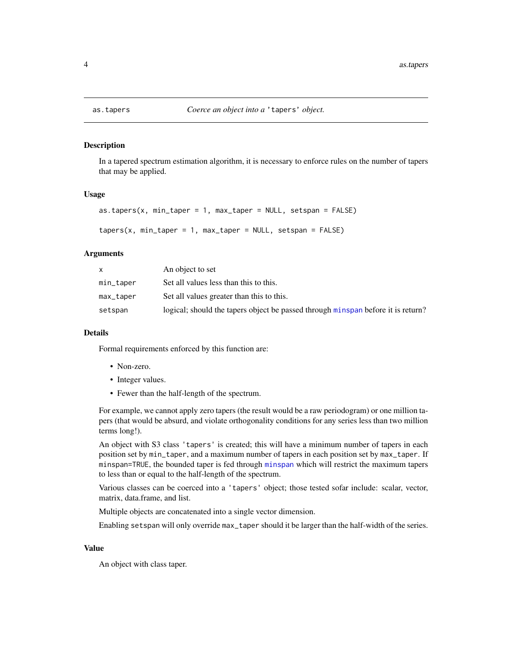#### **Description**

In a tapered spectrum estimation algorithm, it is necessary to enforce rules on the number of tapers that may be applied.

#### Usage

```
as.tapers(x, min_taper = 1, max_taper = NULL, setspan = FALSE)tapers(x, min_taper = 1, max_taper = NULL, setspan = FALSE)
```
### Arguments

|           | An object to set                                                                 |
|-----------|----------------------------------------------------------------------------------|
| min_taper | Set all values less than this to this.                                           |
| max_taper | Set all values greater than this to this.                                        |
| setspan   | logical; should the tapers object be passed through minspan before it is return? |

#### Details

Formal requirements enforced by this function are:

- Non-zero.
- Integer values.
- Fewer than the half-length of the spectrum.

For example, we cannot apply zero tapers (the result would be a raw periodogram) or one million tapers (that would be absurd, and violate orthogonality conditions for any series less than two million terms long!).

An object with S3 class 'tapers' is created; this will have a minimum number of tapers in each position set by min\_taper, and a maximum number of tapers in each position set by max\_taper. If minspan=TRUE, the bounded taper is fed through [minspan](#page-37-1) which will restrict the maximum tapers to less than or equal to the half-length of the spectrum.

Various classes can be coerced into a 'tapers' object; those tested sofar include: scalar, vector, matrix, data.frame, and list.

Multiple objects are concatenated into a single vector dimension.

Enabling setspan will only override max\_taper should it be larger than the half-width of the series.

### Value

An object with class taper.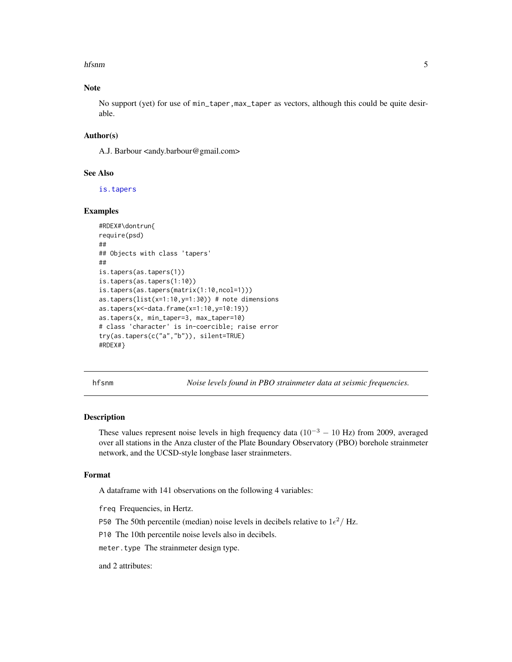#### <span id="page-4-0"></span>hfsnm 5

### Note

No support (yet) for use of min\_taper,max\_taper as vectors, although this could be quite desirable.

### Author(s)

A.J. Barbour <andy.barbour@gmail.com>

### See Also

[is.tapers](#page-18-1)

### Examples

```
#RDEX#\dontrun{
require(psd)
##
## Objects with class 'tapers'
##
is.tapers(as.tapers(1))
is.tapers(as.tapers(1:10))
is.tapers(as.tapers(matrix(1:10,ncol=1)))
as.tapers(list(x=1:10,y=1:30)) # note dimensions
as.tapers(x<-data.frame(x=1:10,y=10:19))
as.tapers(x, min_taper=3, max_taper=10)
# class 'character' is in-coercible; raise error
try(as.tapers(c("a","b")), silent=TRUE)
#RDEX#}
```
<span id="page-4-1"></span>hfsnm *Noise levels found in PBO strainmeter data at seismic frequencies.*

#### Description

These values represent noise levels in high frequency data  $(10^{-3} - 10 \text{ Hz})$  from 2009, averaged over all stations in the Anza cluster of the Plate Boundary Observatory (PBO) borehole strainmeter network, and the UCSD-style longbase laser strainmeters.

#### Format

A dataframe with 141 observations on the following 4 variables:

freq Frequencies, in Hertz.

P50 The 50th percentile (median) noise levels in decibels relative to  $1\epsilon^2/Hz$ .

P10 The 10th percentile noise levels also in decibels.

meter.type The strainmeter design type.

and 2 attributes: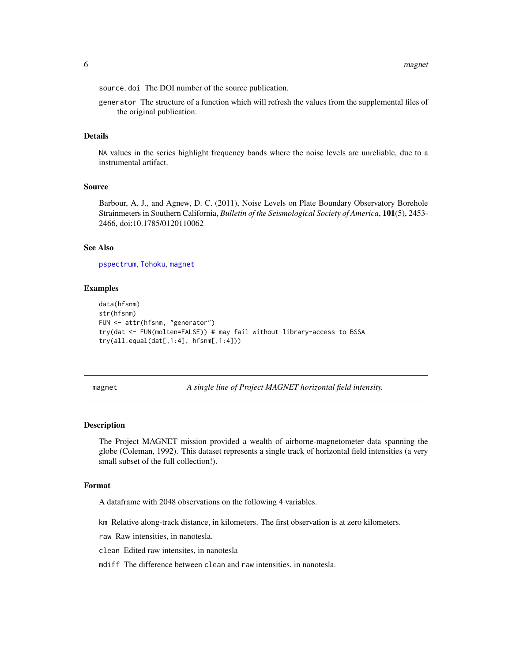<span id="page-5-0"></span>source.doi The DOI number of the source publication.

generator The structure of a function which will refresh the values from the supplemental files of the original publication.

#### Details

NA values in the series highlight frequency bands where the noise levels are unreliable, due to a instrumental artifact.

### Source

Barbour, A. J., and Agnew, D. C. (2011), Noise Levels on Plate Boundary Observatory Borehole Strainmeters in Southern California, *Bulletin of the Seismological Society of America*, 101(5), 2453- 2466, doi:10.1785/0120110062

### See Also

[pspectrum](#page-24-1), [Tohoku](#page-41-1), [magnet](#page-5-1)

#### Examples

```
data(hfsnm)
str(hfsnm)
FUN <- attr(hfsnm, "generator")
try(dat <- FUN(molten=FALSE)) # may fail without library-access to BSSA
try(all.equal(dat[,1:4], hfsnm[,1:4]))
```
<span id="page-5-1"></span>magnet *A single line of Project MAGNET horizontal field intensity.*

#### Description

The Project MAGNET mission provided a wealth of airborne-magnetometer data spanning the globe (Coleman, 1992). This dataset represents a single track of horizontal field intensities (a very small subset of the full collection!).

#### Format

A dataframe with 2048 observations on the following 4 variables.

km Relative along-track distance, in kilometers. The first observation is at zero kilometers.

raw Raw intensities, in nanotesla.

clean Edited raw intensites, in nanotesla

mdiff The difference between clean and raw intensities, in nanotesla.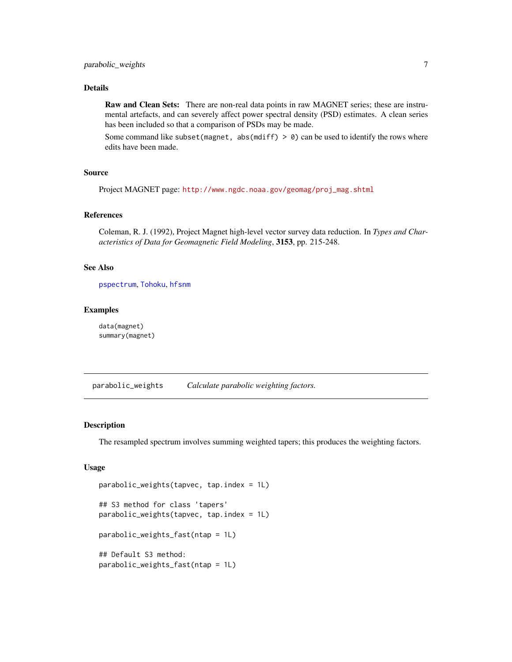### <span id="page-6-0"></span>Details

Raw and Clean Sets: There are non-real data points in raw MAGNET series; these are instrumental artefacts, and can severely affect power spectral density (PSD) estimates. A clean series has been included so that a comparison of PSDs may be made.

Some command like subset(magnet, abs(mdiff)  $> 0$ ) can be used to identify the rows where edits have been made.

#### Source

Project MAGNET page: [http://www.ngdc.noaa.gov/geomag/proj\\_mag.shtml](http://www.ngdc.noaa.gov/geomag/proj_mag.shtml)

#### References

Coleman, R. J. (1992), Project Magnet high-level vector survey data reduction. In *Types and Characteristics of Data for Geomagnetic Field Modeling*, 3153, pp. 215-248.

### See Also

[pspectrum](#page-24-1), [Tohoku](#page-41-1), [hfsnm](#page-4-1)

#### Examples

data(magnet) summary(magnet)

parabolic\_weights *Calculate parabolic weighting factors.*

### Description

The resampled spectrum involves summing weighted tapers; this produces the weighting factors.

#### Usage

```
parabolic_weights(tapvec, tap.index = 1L)
## S3 method for class 'tapers'
parabolic_weights(tapvec, tap.index = 1L)
parabolic_weights_fast(ntap = 1L)
## Default S3 method:
parabolic_weights_fast(ntap = 1L)
```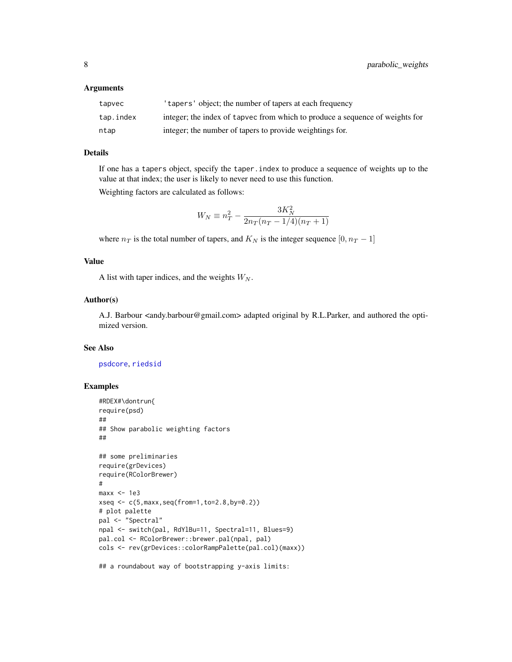#### <span id="page-7-0"></span>Arguments

| tapvec    | 'tapers' object; the number of tapers at each frequency                      |
|-----------|------------------------------------------------------------------------------|
| tap.index | integer; the index of tapvec from which to produce a sequence of weights for |
| ntap      | integer; the number of tapers to provide weightings for.                     |

### Details

If one has a tapers object, specify the taper.index to produce a sequence of weights up to the value at that index; the user is likely to never need to use this function.

Weighting factors are calculated as follows:

$$
W_N \equiv n_T^2 - \frac{3K_N^2}{2n_T(n_T - 1/4)(n_T + 1)}
$$

where  $n_T$  is the total number of tapers, and  $K_N$  is the integer sequence  $[0, n_T - 1]$ 

### Value

A list with taper indices, and the weights  $W_N$ .

### Author(s)

A.J. Barbour <andy.barbour@gmail.com> adapted original by R.L.Parker, and authored the optimized version.

#### See Also

[psdcore](#page-22-1), [riedsid](#page-27-1)

### Examples

```
#RDEX#\dontrun{
require(psd)
##
## Show parabolic weighting factors
##
## some preliminaries
require(grDevices)
require(RColorBrewer)
#
max < -1e3xseq <- c(5,maxx,seq(from=1,to=2.8,by=0.2))
# plot palette
pal <- "Spectral"
npal <- switch(pal, RdYlBu=11, Spectral=11, Blues=9)
pal.col <- RColorBrewer::brewer.pal(npal, pal)
cols <- rev(grDevices::colorRampPalette(pal.col)(maxx))
```
## a roundabout way of bootstrapping y-axis limits: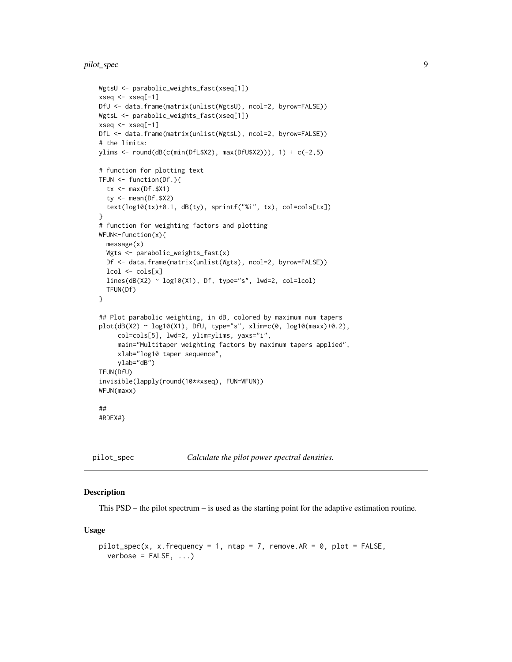<span id="page-8-0"></span>pilot\_spec 9

```
WgtsU <- parabolic_weights_fast(xseq[1])
xseq \leftarrow xseq[-1]DfU <- data.frame(matrix(unlist(WgtsU), ncol=2, byrow=FALSE))
WgtsL <- parabolic_weights_fast(xseq[1])
xseq \leftarrow xseq[-1]DfL <- data.frame(matrix(unlist(WgtsL), ncol=2, byrow=FALSE))
# the limits:
ylims <- round(dB(c(min(DfL$X2), max(DfU$X2))), 1) + c(-2,5)
# function for plotting text
TFUN <- function(Df.){
  tx <- max(Df.$X1)
  ty \leq mean(Df.$X2)
  text(log10(tx)+0.1, dB(ty), sprintf("%i", tx), col=cols[tx])
}
# function for weighting factors and plotting
WFUN<-function(x){
  message(x)
  Wgts <- parabolic_weights_fast(x)
  Df <- data.frame(matrix(unlist(Wgts), ncol=2, byrow=FALSE))
  lcol \leftarrow cols[x]lines(dB(X2) \sim log10(X1), Df, type="s", lwd=2, col=lcol)
  TFUN(Df)
}
## Plot parabolic weighting, in dB, colored by maximum num tapers
plot(dB(X2) ~ ~ log10(X1), DfU, type="s", xlim=c(0, log10(maxx)+0.2),col=cols[5], lwd=2, ylim=ylims, yaxs="i",
     main="Multitaper weighting factors by maximum tapers applied",
     xlab="log10 taper sequence",
     ylab="dB")
TFUN(DfU)
invisible(lapply(round(10**xseq), FUN=WFUN))
WFUN(maxx)
##
#RDEX#}
```
<span id="page-8-1"></span>

pilot\_spec *Calculate the pilot power spectral densities.*

#### Description

This PSD – the pilot spectrum – is used as the starting point for the adaptive estimation routine.

#### Usage

```
pilot\_spec(x, x.frequency = 1, ntap = 7, remove.AR = 0, plot = FALSE,verbose = FALSE, ...)
```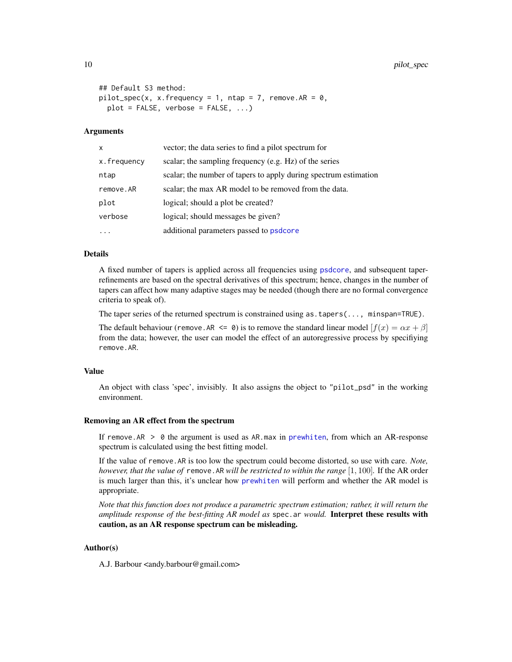```
## Default S3 method:
pilot\_spec(x, x.frequency = 1, ntap = 7, remove.AR = 0,plot = FALSE, verbose = FALSE, ...)
```
#### Arguments

| $\mathsf{x}$ | vector; the data series to find a pilot spectrum for             |
|--------------|------------------------------------------------------------------|
| x.frequency  | scalar; the sampling frequency (e.g. Hz) of the series           |
| ntap         | scalar; the number of tapers to apply during spectrum estimation |
| remove.AR    | scalar; the max AR model to be removed from the data.            |
| plot         | logical; should a plot be created?                               |
| verbose      | logical; should messages be given?                               |
|              | additional parameters passed to psdcore                          |

### Details

A fixed number of tapers is applied across all frequencies using [psdcore](#page-22-1), and subsequent taperrefinements are based on the spectral derivatives of this spectrum; hence, changes in the number of tapers can affect how many adaptive stages may be needed (though there are no formal convergence criteria to speak of).

The taper series of the returned spectrum is constrained using as.tapers(..., minspan=TRUE).

The default behaviour (remove.AR  $\leq 0$ ) is to remove the standard linear model  $[f(x) = \alpha x + \beta]$ from the data; however, the user can model the effect of an autoregressive process by specifiying remove.AR.

#### Value

An object with class 'spec', invisibly. It also assigns the object to "pilot\_psd" in the working environment.

#### Removing an AR effect from the spectrum

If remove. AR  $> 0$  the argument is used as AR max in [prewhiten](#page-10-1), from which an AR-response spectrum is calculated using the best fitting model.

If the value of remove.AR is too low the spectrum could become distorted, so use with care. *Note, however, that the value of* remove.AR *will be restricted to within the range* [1, 100]*.* If the AR order is much larger than this, it's unclear how [prewhiten](#page-10-1) will perform and whether the AR model is appropriate.

*Note that this function does not produce a parametric spectrum estimation; rather, it will return the amplitude response of the best-fitting AR model as* spec.ar *would.* Interpret these results with caution, as an AR response spectrum can be misleading.

### Author(s)

A.J. Barbour <andy.barbour@gmail.com>

<span id="page-9-0"></span>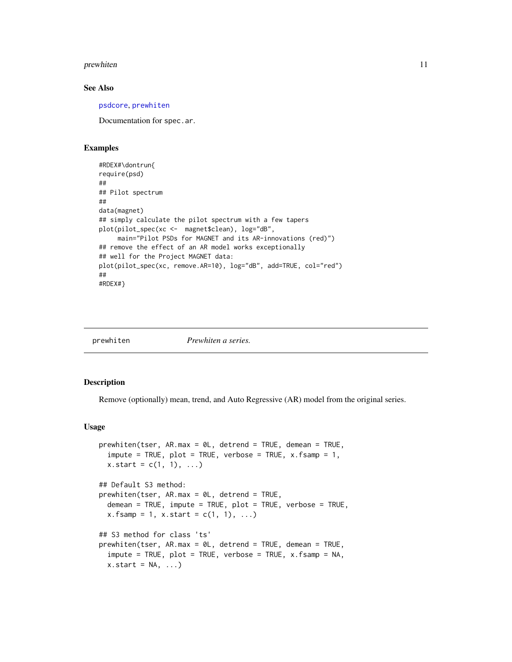#### <span id="page-10-0"></span>prewhiten the contract of the contract of the contract of the contract of the contract of the contract of the contract of the contract of the contract of the contract of the contract of the contract of the contract of the

#### See Also

[psdcore](#page-22-1), [prewhiten](#page-10-1)

Documentation for spec.ar.

### Examples

```
#RDEX#\dontrun{
require(psd)
##
## Pilot spectrum
##
data(magnet)
## simply calculate the pilot spectrum with a few tapers
plot(pilot_spec(xc <- magnet$clean), log="dB",
     main="Pilot PSDs for MAGNET and its AR-innovations (red)")
## remove the effect of an AR model works exceptionally
## well for the Project MAGNET data:
plot(pilot_spec(xc, remove.AR=10), log="dB", add=TRUE, col="red")
##
#RDEX#}
```
<span id="page-10-1"></span>

| prewhiten | <i>Prewhiten a series.</i> |
|-----------|----------------------------|
|           |                            |

### Description

Remove (optionally) mean, trend, and Auto Regressive (AR) model from the original series.

### Usage

```
prewhiten(tser, AR.max = 0L, detrend = TRUE, demean = TRUE,
  impute = TRUE, plot = TRUE, verbose = TRUE, x.fsamp = 1,x.start = c(1, 1), ...## Default S3 method:
prewhiten(tser, AR.max = 0L, detrend = TRUE,
  demean = TRUE, impute = TRUE, plot = TRUE, verbose = TRUE,
  x.fsampling = 1, x.start = c(1, 1), ...## S3 method for class 'ts'
prewhiten(tser, AR.max = 0L, detrend = TRUE, demean = TRUE,
  \mathsf{impute} = \mathsf{TRUE}, \mathsf{plot} = \mathsf{TRUE}, \mathsf{verbose} = \mathsf{TRUE}, \mathsf{x}.\mathsf{fsamp} = \mathsf{NA},x.start = NA, ...)
```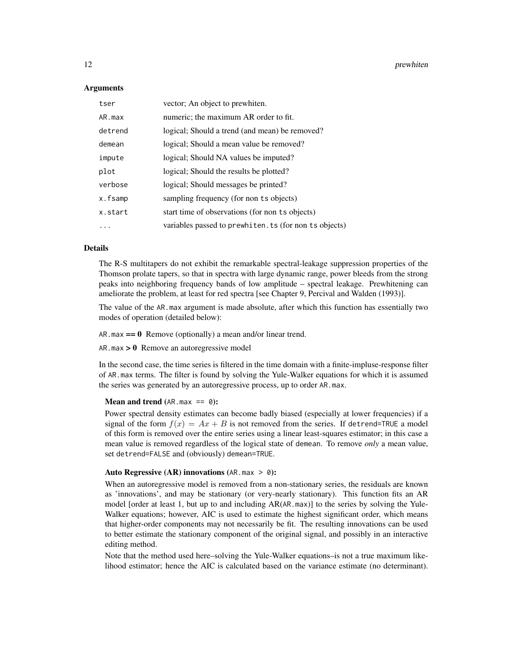#### **Arguments**

| tser    | vector; An object to prewhiten.                        |
|---------|--------------------------------------------------------|
| AR.max  | numeric; the maximum AR order to fit.                  |
| detrend | logical; Should a trend (and mean) be removed?         |
| demean  | logical; Should a mean value be removed?               |
| impute  | logical; Should NA values be imputed?                  |
| plot    | logical; Should the results be plotted?                |
| verbose | logical; Should messages be printed?                   |
| x.fsamp | sampling frequency (for non ts objects)                |
| x.start | start time of observations (for non ts objects)        |
| .       | variables passed to prewhiten. ts (for non ts objects) |

### Details

The R-S multitapers do not exhibit the remarkable spectral-leakage suppression properties of the Thomson prolate tapers, so that in spectra with large dynamic range, power bleeds from the strong peaks into neighboring frequency bands of low amplitude – spectral leakage. Prewhitening can ameliorate the problem, at least for red spectra [see Chapter 9, Percival and Walden (1993)].

The value of the AR.max argument is made absolute, after which this function has essentially two modes of operation (detailed below):

AR. max  $== 0$  Remove (optionally) a mean and/or linear trend.

 $AR.max > 0$  Remove an autoregressive model

In the second case, the time series is filtered in the time domain with a finite-impluse-response filter of AR.max terms. The filter is found by solving the Yule-Walker equations for which it is assumed the series was generated by an autoregressive process, up to order AR.max.

#### **Mean and trend (AR.max == 0):**

Power spectral density estimates can become badly biased (especially at lower frequencies) if a signal of the form  $f(x) = Ax + B$  is not removed from the series. If detrend=TRUE a model of this form is removed over the entire series using a linear least-squares estimator; in this case a mean value is removed regardless of the logical state of demean. To remove *only* a mean value, set detrend=FALSE and (obviously) demean=TRUE.

### Auto Regressive (AR) innovations (AR. max  $> 0$ ):

When an autoregressive model is removed from a non-stationary series, the residuals are known as 'innovations', and may be stationary (or very-nearly stationary). This function fits an AR model [order at least 1, but up to and including AR(AR.max)] to the series by solving the Yule-Walker equations; however, AIC is used to estimate the highest significant order, which means that higher-order components may not necessarily be fit. The resulting innovations can be used to better estimate the stationary component of the original signal, and possibly in an interactive editing method.

Note that the method used here–solving the Yule-Walker equations–is not a true maximum likelihood estimator; hence the AIC is calculated based on the variance estimate (no determinant).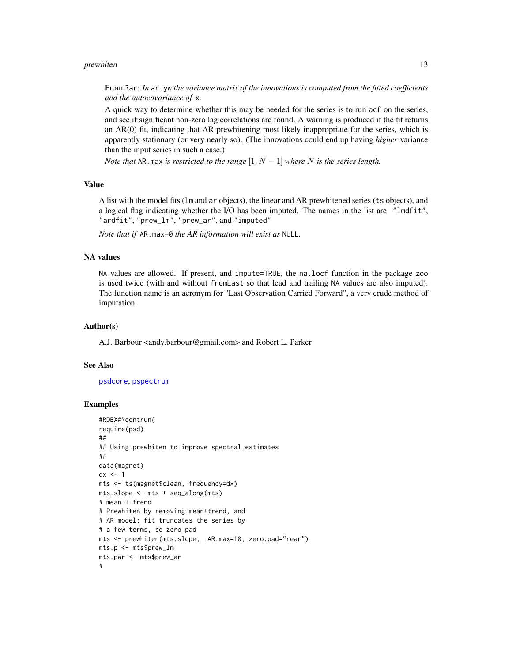#### <span id="page-12-0"></span>prewhiten the contract of the contract of the contract of the contract of the contract of the contract of the contract of the contract of the contract of the contract of the contract of the contract of the contract of the

From ?ar: *In* ar.yw *the variance matrix of the innovations is computed from the fitted coefficients and the autocovariance of* x*.*

A quick way to determine whether this may be needed for the series is to run acf on the series, and see if significant non-zero lag correlations are found. A warning is produced if the fit returns an AR(0) fit, indicating that AR prewhitening most likely inappropriate for the series, which is apparently stationary (or very nearly so). (The innovations could end up having *higher* variance than the input series in such a case.)

*Note that* AR.max *is restricted to the range*  $[1, N - 1]$  *where* N *is the series length.* 

### Value

A list with the model fits (lm and ar objects), the linear and AR prewhitened series (ts objects), and a logical flag indicating whether the I/O has been imputed. The names in the list are: "lmdfit", "ardfit", "prew\_lm", "prew\_ar", and "imputed"

*Note that if* AR.max=0 *the AR information will exist as* NULL*.*

### NA values

NA values are allowed. If present, and impute=TRUE, the na.locf function in the package zoo is used twice (with and without fromLast so that lead and trailing NA values are also imputed). The function name is an acronym for "Last Observation Carried Forward", a very crude method of imputation.

### Author(s)

A.J. Barbour <andy.barbour@gmail.com> and Robert L. Parker

#### See Also

[psdcore](#page-22-1), [pspectrum](#page-24-1)

#### Examples

```
#RDEX#\dontrun{
require(psd)
##
## Using prewhiten to improve spectral estimates
##
data(magnet)
dx <- 1
mts <- ts(magnet$clean, frequency=dx)
mts.slope <- mts + seq_along(mts)
# mean + trend
# Prewhiten by removing mean+trend, and
# AR model; fit truncates the series by
# a few terms, so zero pad
mts <- prewhiten(mts.slope, AR.max=10, zero.pad="rear")
mts.p <- mts$prew_lm
mts.par <- mts$prew_ar
#
```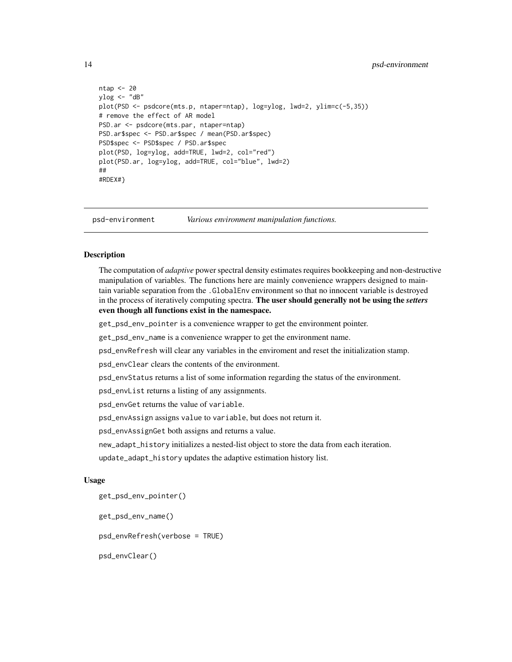```
ntap <- 20
ylog <- "dB"
plot(PSD <- psdcore(mts.p, ntaper=ntap), log=ylog, lwd=2, ylim=c(-5,35))
# remove the effect of AR model
PSD.ar <- psdcore(mts.par, ntaper=ntap)
PSD.ar$spec <- PSD.ar$spec / mean(PSD.ar$spec)
PSD$spec <- PSD$spec / PSD.ar$spec
plot(PSD, log=ylog, add=TRUE, lwd=2, col="red")
plot(PSD.ar, log=ylog, add=TRUE, col="blue", lwd=2)
##
#RDEX#}
```
psd-environment *Various environment manipulation functions.*

### <span id="page-13-1"></span>Description

The computation of *adaptive* power spectral density estimates requires bookkeeping and non-destructive manipulation of variables. The functions here are mainly convenience wrappers designed to maintain variable separation from the .GlobalEnv environment so that no innocent variable is destroyed in the process of iteratively computing spectra. The user should generally not be using the *setters* even though all functions exist in the namespace.

get\_psd\_env\_pointer is a convenience wrapper to get the environment pointer.

get\_psd\_env\_name is a convenience wrapper to get the environment name.

psd\_envRefresh will clear any variables in the enviroment and reset the initialization stamp.

psd\_envClear clears the contents of the environment.

psd\_envStatus returns a list of some information regarding the status of the environment.

psd\_envList returns a listing of any assignments.

psd\_envGet returns the value of variable.

psd\_envAssign assigns value to variable, but does not return it.

psd\_envAssignGet both assigns and returns a value.

new\_adapt\_history initializes a nested-list object to store the data from each iteration.

update\_adapt\_history updates the adaptive estimation history list.

### Usage

get\_psd\_env\_pointer()

get\_psd\_env\_name()

psd\_envRefresh(verbose = TRUE)

psd\_envClear()

<span id="page-13-0"></span>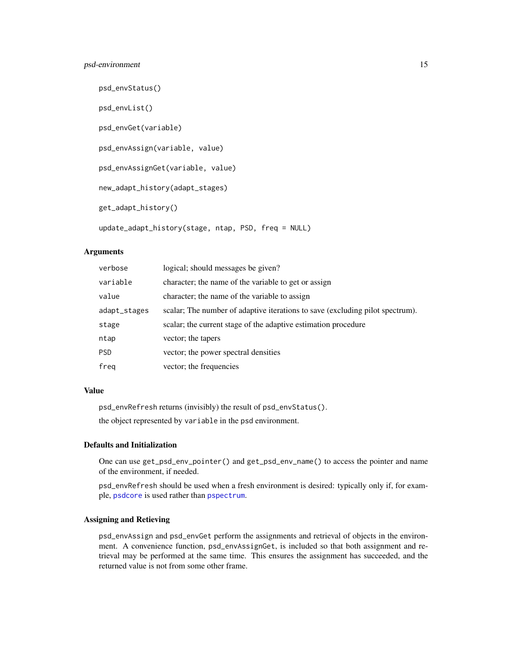### <span id="page-14-0"></span>psd-environment 15

```
psd_envStatus()
psd_envList()
psd_envGet(variable)
psd_envAssign(variable, value)
psd_envAssignGet(variable, value)
new_adapt_history(adapt_stages)
get_adapt_history()
update_adapt_history(stage, ntap, PSD, freq = NULL)
```
#### Arguments

| verbose      | logical; should messages be given?                                            |
|--------------|-------------------------------------------------------------------------------|
| variable     | character; the name of the variable to get or assign                          |
| value        | character; the name of the variable to assign                                 |
| adapt_stages | scalar; The number of adaptive iterations to save (excluding pilot spectrum). |
| stage        | scalar; the current stage of the adaptive estimation procedure                |
| ntap         | vector; the tapers                                                            |
| <b>PSD</b>   | vector; the power spectral densities                                          |
| freg         | vector; the frequencies                                                       |

#### Value

psd\_envRefresh returns (invisibly) the result of psd\_envStatus().

the object represented by variable in the psd environment.

### Defaults and Initialization

One can use get\_psd\_env\_pointer() and get\_psd\_env\_name() to access the pointer and name of the environment, if needed.

psd\_envRefresh should be used when a fresh environment is desired: typically only if, for example, [psdcore](#page-22-1) is used rather than [pspectrum](#page-24-1).

### Assigning and Retieving

psd\_envAssign and psd\_envGet perform the assignments and retrieval of objects in the environment. A convenience function, psd\_envAssignGet, is included so that both assignment and retrieval may be performed at the same time. This ensures the assignment has succeeded, and the returned value is not from some other frame.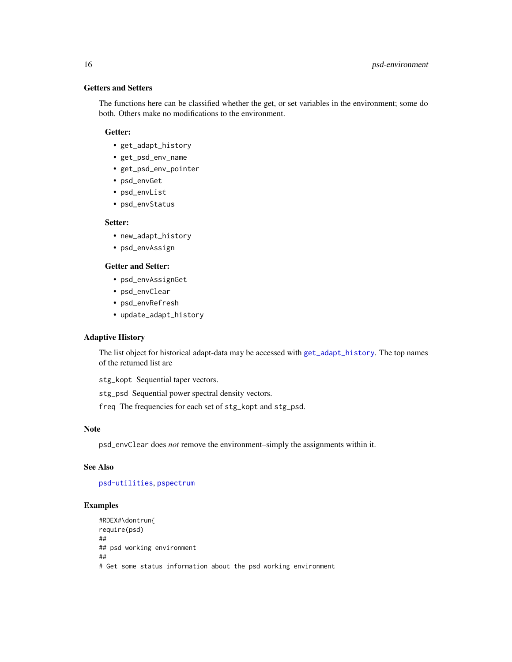### Getters and Setters

The functions here can be classified whether the get, or set variables in the environment; some do both. Others make no modifications to the environment.

#### Getter:

- get\_adapt\_history
- get\_psd\_env\_name
- get\_psd\_env\_pointer
- psd\_envGet
- psd\_envList
- psd\_envStatus

#### Setter:

- new\_adapt\_history
- psd\_envAssign

### Getter and Setter:

- psd\_envAssignGet
- psd\_envClear
- psd\_envRefresh
- update\_adapt\_history

#### Adaptive History

The list object for historical adapt-data may be accessed with [get\\_adapt\\_history](#page-13-1). The top names of the returned list are

stg\_kopt Sequential taper vectors.

stg\_psd Sequential power spectral density vectors.

freq The frequencies for each set of stg\_kopt and stg\_psd.

### Note

psd\_envClear does *not* remove the environment–simply the assignments within it.

### See Also

[psd-utilities](#page-18-2), [pspectrum](#page-24-1)

### Examples

```
#RDEX#\dontrun{
require(psd)
##
## psd working environment
##
# Get some status information about the psd working environment
```
<span id="page-15-0"></span>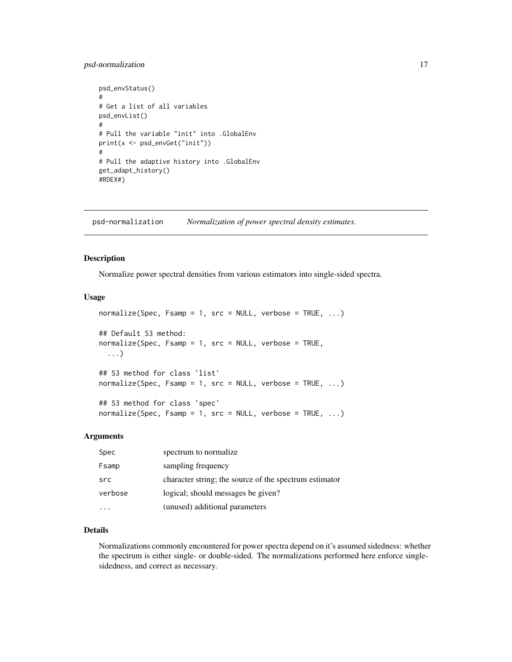### <span id="page-16-0"></span>psd-normalization 17

```
psd_envStatus()
#
# Get a list of all variables
psd_envList()
#
# Pull the variable "init" into .GlobalEnv
print(x <- psd_envGet("init"))
#
# Pull the adaptive history into .GlobalEnv
get_adapt_history()
#RDEX#}
```
psd-normalization *Normalization of power spectral density estimates.*

#### Description

Normalize power spectral densities from various estimators into single-sided spectra.

#### Usage

```
normalize(Spec, Fsamp = 1, src = NULL, verbose = TRUE, ...)## Default S3 method:
normalize(Spec, Fsamp = 1, src = NULL, verbose = TRUE,
  ...)
## S3 method for class 'list'
normalize(Spec, Fsamp = 1, src = NULL, verbose = TRUE, ...)## S3 method for class 'spec'
normalize(Spec, Fsamp = 1, src = NULL, verbose = TRUE, ...)
```
#### Arguments

| Spec    | spectrum to normalize                                  |
|---------|--------------------------------------------------------|
| Fsamp   | sampling frequency                                     |
| src     | character string; the source of the spectrum estimator |
| verbose | logical; should messages be given?                     |
|         | (unused) additional parameters                         |

### Details

Normalizations commonly encountered for power spectra depend on it's assumed sidedness: whether the spectrum is either single- or double-sided. The normalizations performed here enforce singlesidedness, and correct as necessary.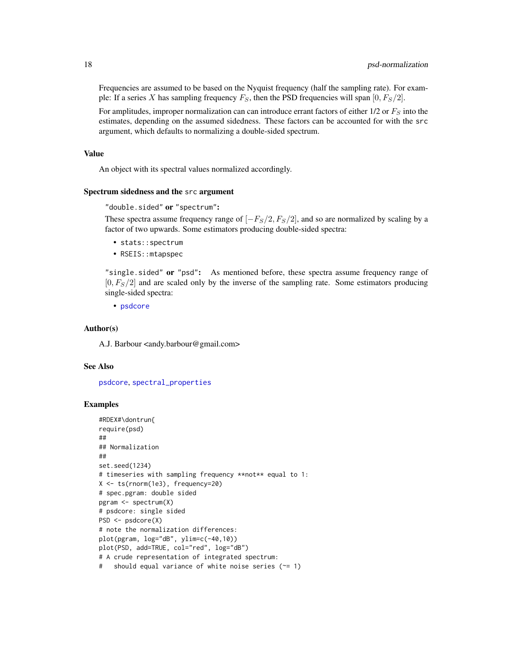Frequencies are assumed to be based on the Nyquist frequency (half the sampling rate). For example: If a series X has sampling frequency  $F_S$ , then the PSD frequencies will span [0,  $F_S/2$ ].

For amplitudes, improper normalization can can introduce errant factors of either  $1/2$  or  $F_S$  into the estimates, depending on the assumed sidedness. These factors can be accounted for with the src argument, which defaults to normalizing a double-sided spectrum.

#### Value

An object with its spectral values normalized accordingly.

### Spectrum sidedness and the src argument

```
"double.sided" or "spectrum":
```
These spectra assume frequency range of  $[-F<sub>S</sub>/2, F<sub>S</sub>/2]$ , and so are normalized by scaling by a factor of two upwards. Some estimators producing double-sided spectra:

- stats::spectrum
- RSEIS::mtapspec

"single.sided" or "psd": As mentioned before, these spectra assume frequency range of  $[0, F<sub>S</sub>/2]$  and are scaled only by the inverse of the sampling rate. Some estimators producing single-sided spectra:

• [psdcore](#page-22-1)

#### Author(s)

A.J. Barbour <andy.barbour@gmail.com>

#### See Also

[psdcore](#page-22-1), [spectral\\_properties](#page-30-1)

### Examples

```
#RDEX#\dontrun{
require(psd)
##
## Normalization
##
set.seed(1234)
# timeseries with sampling frequency **not** equal to 1:
X <- ts(rnorm(1e3), frequency=20)
# spec.pgram: double sided
pgram <- spectrum(X)
# psdcore: single sided
PSD <- psdcore(X)
# note the normalization differences:
plot(pgram, log="dB", ylim=c(-40,10))
plot(PSD, add=TRUE, col="red", log="dB")
# A crude representation of integrated spectrum:
# should equal variance of white noise series (~= 1)
```
<span id="page-17-0"></span>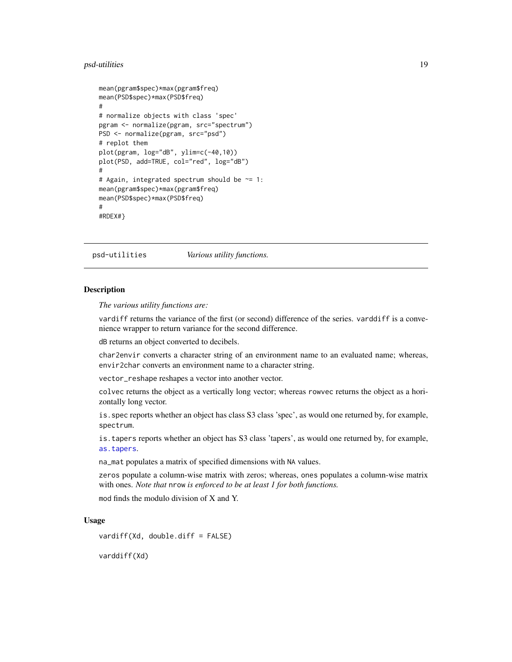#### <span id="page-18-0"></span>psd-utilities 19

```
mean(pgram$spec)*max(pgram$freq)
mean(PSD$spec)*max(PSD$freq)
#
# normalize objects with class 'spec'
pgram <- normalize(pgram, src="spectrum")
PSD <- normalize(pgram, src="psd")
# replot them
plot(pgram, log="dB", ylim=c(-40,10))
plot(PSD, add=TRUE, col="red", log="dB")
#
# Again, integrated spectrum should be ~= 1:
mean(pgram$spec)*max(pgram$freq)
mean(PSD$spec)*max(PSD$freq)
#
#RDEX#}
```
<span id="page-18-2"></span>psd-utilities *Various utility functions.*

### <span id="page-18-1"></span>**Description**

*The various utility functions are:*

vardiff returns the variance of the first (or second) difference of the series. varddiff is a convenience wrapper to return variance for the second difference.

dB returns an object converted to decibels.

char2envir converts a character string of an environment name to an evaluated name; whereas, envir2char converts an environment name to a character string.

vector\_reshape reshapes a vector into another vector.

colvec returns the object as a vertically long vector; whereas rowvec returns the object as a horizontally long vector.

is.spec reports whether an object has class S3 class 'spec', as would one returned by, for example, spectrum.

is.tapers reports whether an object has S3 class 'tapers', as would one returned by, for example, [as.tapers](#page-3-1).

na\_mat populates a matrix of specified dimensions with NA values.

zeros populate a column-wise matrix with zeros; whereas, ones populates a column-wise matrix with ones. *Note that* nrow *is enforced to be at least 1 for both functions.*

mod finds the modulo division of X and Y.

#### Usage

vardiff(Xd, double.diff = FALSE)

varddiff(Xd)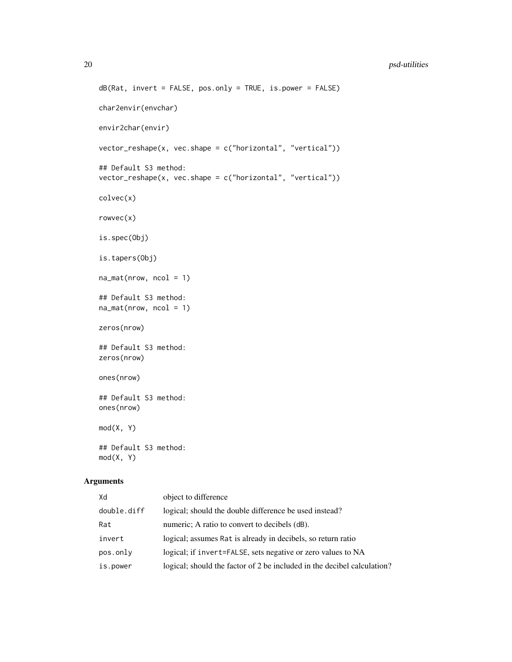```
dB(Rat, invert = FALSE, pos-only = TRUE, is power = FALSE)char2envir(envchar)
envir2char(envir)
vector_reshape(x, vec.shape = c("horizontal", "vertical"))
## Default S3 method:
vector_reshape(x, vec.shape = c("horizontal", "vertical"))
colvec(x)
rowvec(x)
is.spec(Obj)
is.tapers(Obj)
na_matrix(nrow, ncol = 1)## Default S3 method:
na_mat(nrow, ncol = 1)
zeros(nrow)
## Default S3 method:
zeros(nrow)
ones(nrow)
## Default S3 method:
ones(nrow)
mod(X, Y)## Default S3 method:
mod(X, Y)
```
### Arguments

| Xd          | object to difference                                                    |
|-------------|-------------------------------------------------------------------------|
| double.diff | logical; should the double difference be used instead?                  |
| Rat         | numeric; A ratio to convert to decibels (dB).                           |
| invert      | logical; assumes Rat is already in decibels, so return ratio            |
| pos.only    | logical; if invert=FALSE, sets negative or zero values to NA            |
| is.power    | logical; should the factor of 2 be included in the decibel calculation? |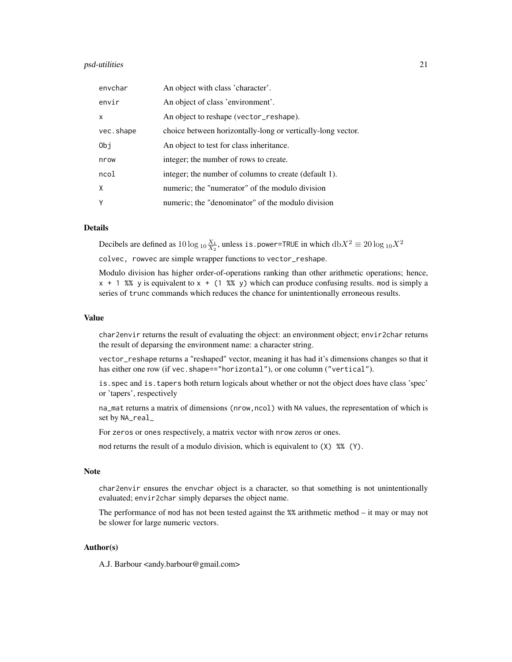#### psd-utilities 21

| envchar   | An object with class 'character'.                           |
|-----------|-------------------------------------------------------------|
| envir     | An object of class 'environment'.                           |
| X         | An object to reshape (vector_reshape).                      |
| vec.shape | choice between horizontally-long or vertically-long vector. |
| Obj       | An object to test for class inheritance.                    |
| nrow      | integer; the number of rows to create.                      |
| ncol      | integer; the number of columns to create (default 1).       |
| X         | numeric; the "numerator" of the modulo division             |
| Y         | numeric; the "denominator" of the modulo division           |

### Details

Decibels are defined as  $10\log_{10}\frac{X_1}{X_2}$ , unless is.power=TRUE in which  $\mathrm{db}X^2 \equiv 20\log_{10}X^2$ colvec, rowvec are simple wrapper functions to vector\_reshape.

Modulo division has higher order-of-operations ranking than other arithmetic operations; hence,  $x + 1$  %% y is equivalent to  $x + (1 \frac{8}{9})$  which can produce confusing results. mod is simply a series of trunc commands which reduces the chance for unintentionally erroneous results.

### Value

char2envir returns the result of evaluating the object: an environment object; envir2char returns the result of deparsing the environment name: a character string.

vector\_reshape returns a "reshaped" vector, meaning it has had it's dimensions changes so that it has either one row (if vec.shape=="horizontal"), or one column ("vertical").

is.spec and is.tapers both return logicals about whether or not the object does have class 'spec' or 'tapers', respectively

na\_mat returns a matrix of dimensions (nrow,ncol) with NA values, the representation of which is set by NA\_real\_

For zeros or ones respectively, a matrix vector with nrow zeros or ones.

mod returns the result of a modulo division, which is equivalent to (X) %% (Y).

#### Note

char2envir ensures the envchar object is a character, so that something is not unintentionally evaluated; envir2char simply deparses the object name.

The performance of mod has not been tested against the %% arithmetic method – it may or may not be slower for large numeric vectors.

### Author(s)

A.J. Barbour <andy.barbour@gmail.com>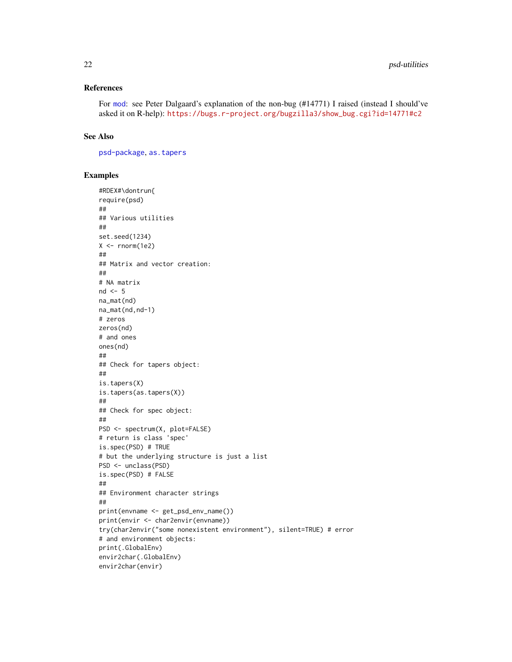### <span id="page-21-0"></span>References

For [mod](#page-18-1): see Peter Dalgaard's explanation of the non-bug (#14771) I raised (instead I should've asked it on R-help): [https://bugs.r-project.org/bugzilla3/show\\_bug.cgi?id=14771#c2](https://bugs.r-project.org/bugzilla3/show_bug.cgi?id=14771#c2)

### See Also

[psd-package](#page-1-1), [as.tapers](#page-3-1)

### Examples

```
#RDEX#\dontrun{
require(psd)
##
## Various utilities
##
set.seed(1234)
X < - rnorm(1e2)
##
## Matrix and vector creation:
##
# NA matrix
nd \le -5na_mat(nd)
na_mat(nd,nd-1)
# zeros
zeros(nd)
# and ones
ones(nd)
##
## Check for tapers object:
##
is.tapers(X)
is.tapers(as.tapers(X))
##
## Check for spec object:
##
PSD <- spectrum(X, plot=FALSE)
# return is class 'spec'
is.spec(PSD) # TRUE
# but the underlying structure is just a list
PSD <- unclass(PSD)
is.spec(PSD) # FALSE
##
## Environment character strings
##
print(envname <- get_psd_env_name())
print(envir <- char2envir(envname))
try(char2envir("some nonexistent environment"), silent=TRUE) # error
# and environment objects:
print(.GlobalEnv)
envir2char(.GlobalEnv)
envir2char(envir)
```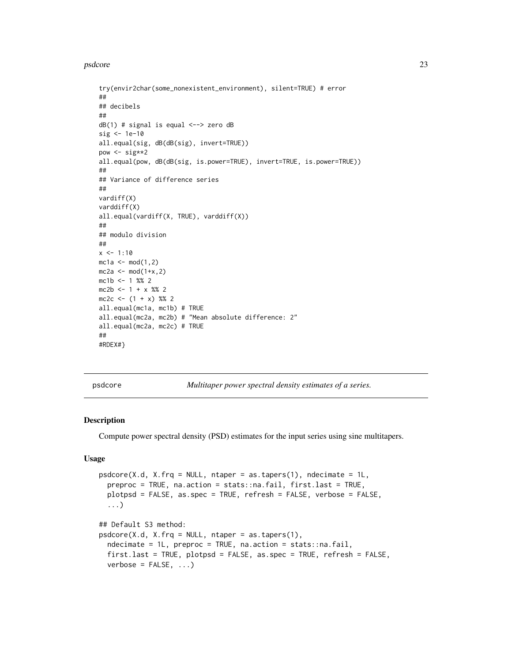#### <span id="page-22-0"></span>psdcore that the contract of the contract of the contract of the contract of the contract of the contract of the contract of the contract of the contract of the contract of the contract of the contract of the contract of t

```
try(envir2char(some_nonexistent_environment), silent=TRUE) # error
##
## decibels
##
dB(1) # signal is equal <--> zero dB
sig \leftarrow 1e-10all.equal(sig, dB(dB(sig), invert=TRUE))
pow \le sig \ast 2
all.equal(pow, dB(dB(sig, is.power=TRUE), invert=TRUE, is.power=TRUE))
##
## Variance of difference series
##
vardiff(X)
varddiff(X)
all.equal(vardiff(X, TRUE), varddiff(X))
##
## modulo division
##
x \le -1:10mc1a < -mod(1,2)mc2a \leq mod(1+x,2)mc1b \leq 1 %% 2
mc2b \le -1 + x % 2mc2c \leftarrow (1 + x) %all.equal(mc1a, mc1b) # TRUE
all.equal(mc2a, mc2b) # "Mean absolute difference: 2"
all.equal(mc2a, mc2c) # TRUE
##
#RDEX#}
```
<span id="page-22-1"></span>psdcore *Multitaper power spectral density estimates of a series.*

### Description

Compute power spectral density (PSD) estimates for the input series using sine multitapers.

### Usage

```
psdcore(X.d, X.frq = NULL, ntaper = as.tapers(1), ndecimate = 1L,preproc = TRUE, na.action = stats::na.fail, first.last = TRUE,
 plotpsd = FALSE, as.spec = TRUE, refresh = FALSE, verbose = FALSE,
  ...)
## Default S3 method:
psdcore(X.d, X.frq = NULL, ntager = as.tapers(1),ndecimate = 1L, preproc = TRUE, na.action = stats::na.fail,
 first.last = TRUE, plotpsd = FALSE, as.spec = TRUE, refresh = FALSE,
  verbose = FALSE, ...)
```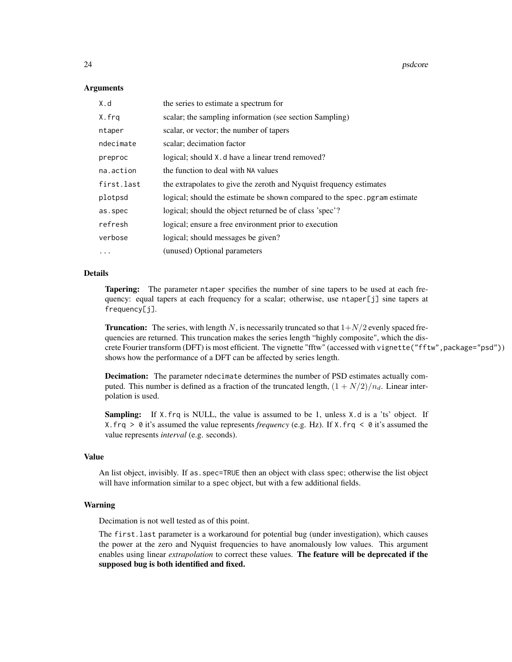#### **Arguments**

| X.d        | the series to estimate a spectrum for                                      |
|------------|----------------------------------------------------------------------------|
| X.frq      | scalar; the sampling information (see section Sampling)                    |
| ntaper     | scalar, or vector; the number of tapers                                    |
| ndecimate  | scalar; decimation factor                                                  |
| preproc    | logical; should X.d have a linear trend removed?                           |
| na.action  | the function to deal with NA values                                        |
| first.last | the extrapolates to give the zeroth and Nyquist frequency estimates        |
| plotpsd    | logical; should the estimate be shown compared to the spec. pgram estimate |
| as.spec    | logical; should the object returned be of class 'spec'?                    |
| refresh    | logical; ensure a free environment prior to execution                      |
| verbose    | logical; should messages be given?                                         |
| $\cdots$   | (unused) Optional parameters                                               |

#### Details

Tapering: The parameter ntaper specifies the number of sine tapers to be used at each frequency: equal tapers at each frequency for a scalar; otherwise, use ntaper[j] sine tapers at frequency[j].

**Truncation:** The series, with length N, is necessarily truncated so that  $1+N/2$  evenly spaced frequencies are returned. This truncation makes the series length "highly composite", which the discrete Fourier transform (DFT) is most efficient. The vignette "fftw" (accessed with vignette("fftw",package="psd")) shows how the performance of a DFT can be affected by series length.

Decimation: The parameter ndecimate determines the number of PSD estimates actually computed. This number is defined as a fraction of the truncated length,  $(1 + N/2)/n_d$ . Linear interpolation is used.

**Sampling:** If X. frq is NULL, the value is assumed to be 1, unless X. d is a 'ts' object. If X. frq  $> 0$  it's assumed the value represents *frequency* (e.g. Hz). If X. frq  $< 0$  it's assumed the value represents *interval* (e.g. seconds).

#### Value

An list object, invisibly. If as.spec=TRUE then an object with class spec; otherwise the list object will have information similar to a spec object, but with a few additional fields.

#### Warning

Decimation is not well tested as of this point.

The first.last parameter is a workaround for potential bug (under investigation), which causes the power at the zero and Nyquist frequencies to have anomalously low values. This argument enables using linear *extrapolation* to correct these values. The feature will be deprecated if the supposed bug is both identified and fixed.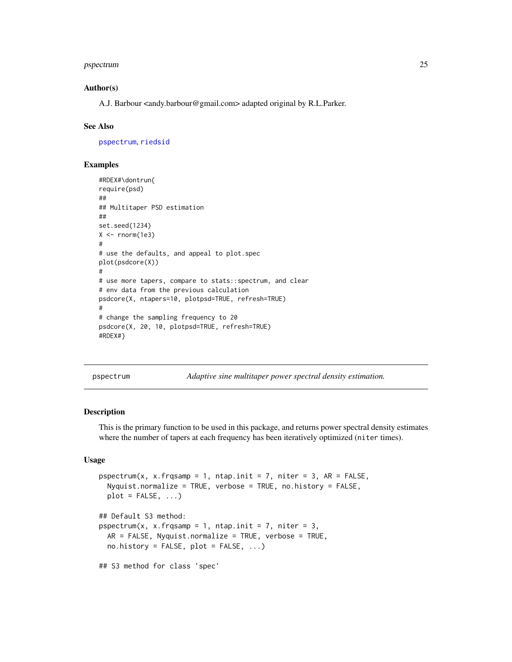### <span id="page-24-0"></span>pspectrum 25

### Author(s)

A.J. Barbour <andy.barbour@gmail.com> adapted original by R.L.Parker.

#### See Also

[pspectrum](#page-24-1), [riedsid](#page-27-1)

### Examples

```
#RDEX#\dontrun{
require(psd)
##
## Multitaper PSD estimation
##
set.seed(1234)
X < - rnorm(1e3)
#
# use the defaults, and appeal to plot.spec
plot(psdcore(X))
#
# use more tapers, compare to stats::spectrum, and clear
# env data from the previous calculation
psdcore(X, ntapers=10, plotpsd=TRUE, refresh=TRUE)
#
# change the sampling frequency to 20
psdcore(X, 20, 10, plotpsd=TRUE, refresh=TRUE)
#RDEX#}
```
<span id="page-24-1"></span>pspectrum *Adaptive sine multitaper power spectral density estimation.*

### Description

This is the primary function to be used in this package, and returns power spectral density estimates where the number of tapers at each frequency has been iteratively optimized (niter times).

### Usage

```
pspectrum(x, x.frqsamp = 1, ntap.init = 7, niter = 3, AR = FALSE,
 Nyquist.normalize = TRUE, verbose = TRUE, no.history = FALSE,
 plot = FALSE, ...)## Default S3 method:
pspectrum(x, x.frqsamp = 1, ntap.init = 7, niter = 3,
 AR = FALSE, Nyquist.normalize = TRUE, verbose = TRUE,
 no. history = FALSE, plot = FALSE, ...)## S3 method for class 'spec'
```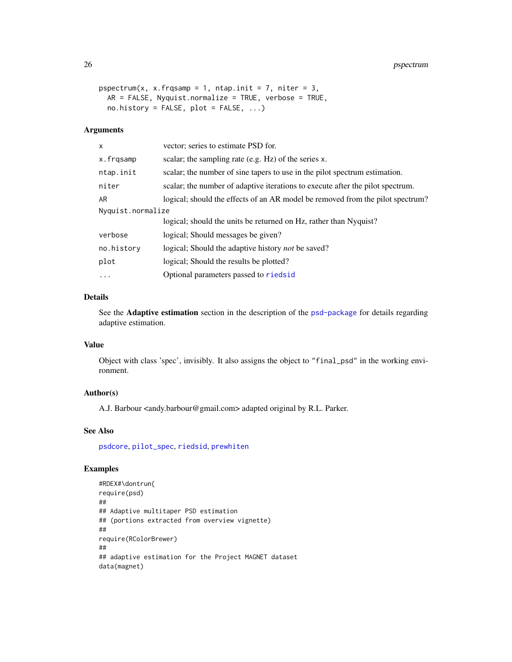```
pspectrum(x, x.frqsamp = 1, ntap.init = 7, niter = 3,
 AR = FALSE, Nyquist.normalize = TRUE, verbose = TRUE,
 no.history = FALSE, plot = FALSE, ...
```
### Arguments

| x                 | vector; series to estimate PSD for.                                            |
|-------------------|--------------------------------------------------------------------------------|
| x.frqsamp         | scalar; the sampling rate (e.g. Hz) of the series x.                           |
| ntap.init         | scalar; the number of sine tapers to use in the pilot spectrum estimation.     |
| niter             | scalar; the number of adaptive iterations to execute after the pilot spectrum. |
| AR                | logical; should the effects of an AR model be removed from the pilot spectrum? |
| Nyquist.normalize |                                                                                |
|                   | logical; should the units be returned on Hz, rather than Nyquist?              |
| verbose           | logical; Should messages be given?                                             |
| no.history        | logical; Should the adaptive history <i>not</i> be saved?                      |
| plot              | logical; Should the results be plotted?                                        |
| $\cdots$          | Optional parameters passed to riedsid                                          |

### Details

See the Adaptive estimation section in the description of the [psd-package](#page-1-1) for details regarding adaptive estimation.

### Value

Object with class 'spec', invisibly. It also assigns the object to "final\_psd" in the working environment.

#### Author(s)

A.J. Barbour <andy.barbour@gmail.com> adapted original by R.L. Parker.

### See Also

[psdcore](#page-22-1), [pilot\\_spec](#page-8-1), [riedsid](#page-27-1), [prewhiten](#page-10-1)

### Examples

```
#RDEX#\dontrun{
require(psd)
##
## Adaptive multitaper PSD estimation
## (portions extracted from overview vignette)
##
require(RColorBrewer)
##
## adaptive estimation for the Project MAGNET dataset
data(magnet)
```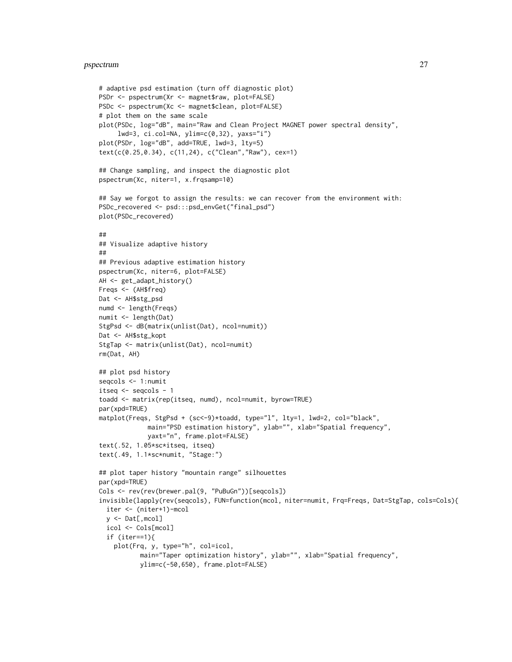#### pspectrum 27

```
# adaptive psd estimation (turn off diagnostic plot)
PSDr <- pspectrum(Xr <- magnet$raw, plot=FALSE)
PSDc <- pspectrum(Xc <- magnet$clean, plot=FALSE)
# plot them on the same scale
plot(PSDc, log="dB", main="Raw and Clean Project MAGNET power spectral density",
     lwd=3, ci.col=NA, ylim=c(0,32), yaxs="i")
plot(PSDr, log="dB", add=TRUE, lwd=3, lty=5)
text(c(0.25,0.34), c(11,24), c("Clean","Raw"), cex=1)
## Change sampling, and inspect the diagnostic plot
pspectrum(Xc, niter=1, x.frqsamp=10)
## Say we forgot to assign the results: we can recover from the environment with:
PSDc_recovered <- psd:::psd_envGet("final_psd")
plot(PSDc_recovered)
##
## Visualize adaptive history
##
## Previous adaptive estimation history
pspectrum(Xc, niter=6, plot=FALSE)
AH <- get_adapt_history()
Freqs <- (AH$freq)
Dat <- AH$stg_psd
numd <- length(Freqs)
numit <- length(Dat)
StgPsd <- dB(matrix(unlist(Dat), ncol=numit))
Dat <- AH$stg_kopt
StgTap <- matrix(unlist(Dat), ncol=numit)
rm(Dat, AH)
## plot psd history
seqcols <- 1:numit
itseq <- seqcols - 1
toadd <- matrix(rep(itseq, numd), ncol=numit, byrow=TRUE)
par(xpd=TRUE)
matplot(Freqs, StgPsd + (sc<-9)*toadd, type="l", lty=1, lwd=2, col="black",
             main="PSD estimation history", ylab="", xlab="Spatial frequency",
             yaxt="n", frame.plot=FALSE)
text(.52, 1.05*sc*itseq, itseq)
text(.49, 1.1*sc*numit, "Stage:")
## plot taper history "mountain range" silhouettes
par(xpd=TRUE)
Cols <- rev(rev(brewer.pal(9, "PuBuGn"))[seqcols])
invisible(lapply(rev(seqcols), FUN=function(mcol, niter=numit, Frq=Freqs, Dat=StgTap, cols=Cols){
  iter <- (niter+1)-mcol
  y \leftarrow \text{Dat}[, mcol]
  icol <- Cols[mcol]
  if (iter==1){
    plot(Frq, y, type="h", col=icol,
           main="Taper optimization history", ylab="", xlab="Spatial frequency",
           ylim=c(-50,650), frame.plot=FALSE)
```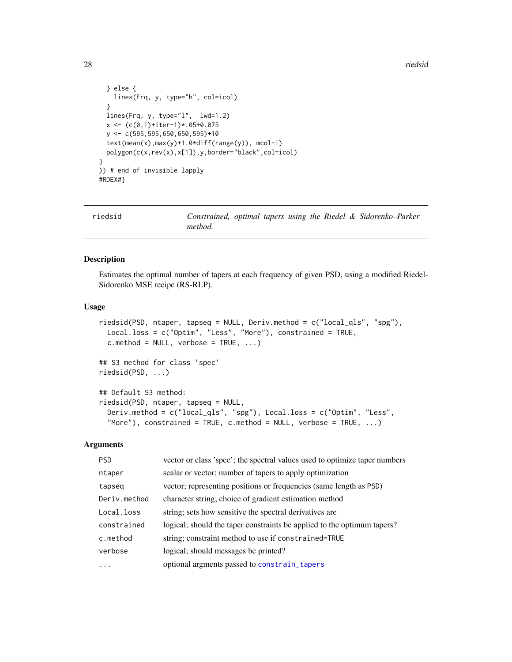28 riedsid

```
} else {
    lines(Frq, y, type="h", col=icol)
  }
  lines(Frq, y, type="l", lwd=1.2)
  x \leftarrow (c(0,1) + iter - 1) \times .05 + 0.075y <- c(595,595,650,650,595)+10
  text(mean(x),max(y)+1.0*diff(range(y)), mcol-1)
  polygon(c(x,rev(x),x[1]),y,border="black",col=icol)
}
)) # end of invisible lapply
#RDEX#}
```

```
riedsid Constrained, optimal tapers using the Riedel & Sidorenko–Parker
                    method.
```
#### Description

Estimates the optimal number of tapers at each frequency of given PSD, using a modified Riedel-Sidorenko MSE recipe (RS-RLP).

#### Usage

```
riedsid(PSD, ntaper, tapseq = NULL, Deriv.method = c("local_qls", "spg"),
  Local.loss = c("Optim", "Less", "More"), constrained = TRUE,
  c. method = NULL, verbose = TRUE, \ldots)
## S3 method for class 'spec'
riedsid(PSD, ...)
## Default S3 method:
riedsid(PSD, ntaper, tapseq = NULL,
  Deriv.method = c("local_qls", "spg"), Local.loss = c("Optim", "Less",
  "More"), constrained = TRUE, c.method = NULL, verbose = TRUE, \ldots)
```
### Arguments

| <b>PSD</b>   | vector or class 'spec'; the spectral values used to optimize taper numbers |
|--------------|----------------------------------------------------------------------------|
| ntaper       | scalar or vector; number of tapers to apply optimization                   |
| tapseq       | vector; representing positions or frequencies (same length as PSD)         |
| Deriv.method | character string; choice of gradient estimation method                     |
| Local.loss   | string; sets how sensitive the spectral derivatives are                    |
| constrained  | logical; should the taper constraints be applied to the optimum tapers?    |
| c.method     | string; constraint method to use if constrained=TRUE                       |
| verbose      | logical; should messages be printed?                                       |
| .            | optional argments passed to constrain_tapers                               |
|              |                                                                            |

<span id="page-27-0"></span>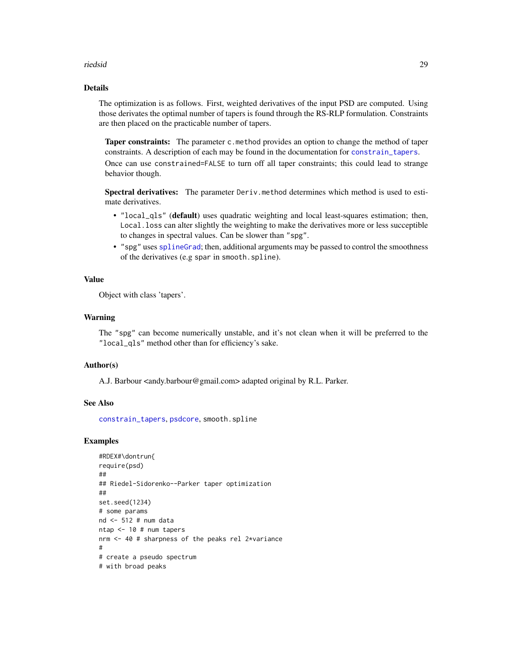#### <span id="page-28-0"></span>riedsid 29

### Details

The optimization is as follows. First, weighted derivatives of the input PSD are computed. Using those derivates the optimal number of tapers is found through the RS-RLP formulation. Constraints are then placed on the practicable number of tapers.

Taper constraints: The parameter c.method provides an option to change the method of taper constraints. A description of each may be found in the documentation for [constrain\\_tapers](#page-37-1). Once can use constrained=FALSE to turn off all taper constraints; this could lead to strange behavior though.

Spectral derivatives: The parameter Deriv.method determines which method is used to estimate derivatives.

- "local\_qls" (default) uses quadratic weighting and local least-squares estimation; then, Local.loss can alter slightly the weighting to make the derivatives more or less succeptible to changes in spectral values. Can be slower than "spg".
- "spg" uses [splineGrad](#page-35-1); then, additional arguments may be passed to control the smoothness of the derivatives (e.g spar in smooth.spline).

### Value

Object with class 'tapers'.

#### Warning

The "spg" can become numerically unstable, and it's not clean when it will be preferred to the "local\_qls" method other than for efficiency's sake.

#### Author(s)

A.J. Barbour <andy.barbour@gmail.com> adapted original by R.L. Parker.

#### See Also

[constrain\\_tapers](#page-37-1), [psdcore](#page-22-1), smooth.spline

### Examples

```
#RDEX#\dontrun{
require(psd)
##
## Riedel-Sidorenko--Parker taper optimization
##
set.seed(1234)
# some params
nd <- 512 # num data
ntap <- 10 # num tapers
nrm <- 40 # sharpness of the peaks rel 2*variance
#
# create a pseudo spectrum
# with broad peaks
```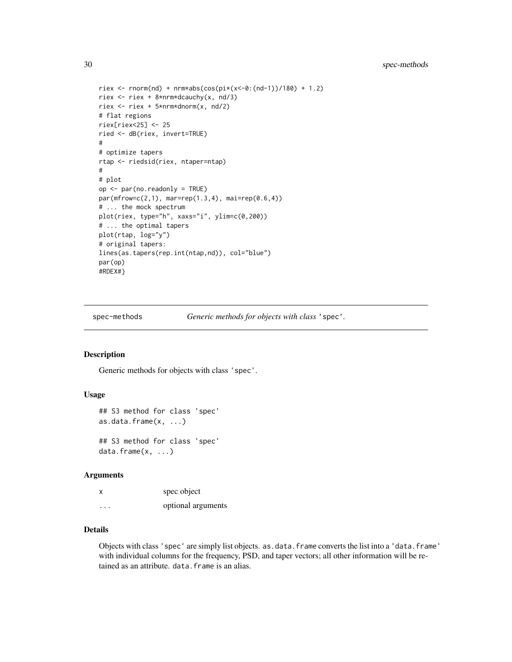```
riex <- rnorm(nd) + nrm*abs(cos(pi*(x<-0:(nd-1))/180) + 1.2)
riex <- riex + 8*nrm*dcauchy(x, nd/3)
riex <- riex + 5*nrm*dnorm(x, nd/2)
# flat regions
riex[riex<25] <- 25
ried <- dB(riex, invert=TRUE)
#
# optimize tapers
rtap <- riedsid(riex, ntaper=ntap)
#
# plot
op <- par(no.readonly = TRUE)
par(mfrow=c(2,1), mar=rep(1.3,4), mai=rep(0.6,4))
# ... the mock spectrum
plot(riex, type="h", xaxs="i", ylim=c(0,200))
# ... the optimal tapers
plot(rtap, log="y")
# original tapers:
lines(as.tapers(rep.int(ntap,nd)), col="blue")
par(op)
#RDEX#}
```
spec-methods *Generic methods for objects with class* 'spec'*.*

#### Description

Generic methods for objects with class 'spec'.

### Usage

```
## S3 method for class 'spec'
as.data.frame(x, ...)
## S3 method for class 'spec'
```

```
data.frame(x, ...)
```
#### Arguments

| x        | spec object        |
|----------|--------------------|
| $\cdots$ | optional arguments |

### Details

Objects with class 'spec' are simply list objects. as.data.frame converts the list into a 'data.frame' with individual columns for the frequency, PSD, and taper vectors; all other information will be retained as an attribute. data.frame is an alias.

<span id="page-29-0"></span>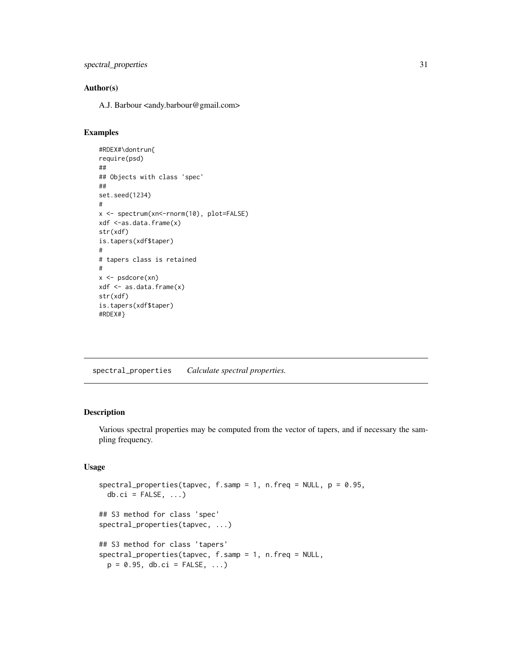```
spectral_properties 31
```
### Author(s)

A.J. Barbour <andy.barbour@gmail.com>

### Examples

```
#RDEX#\dontrun{
require(psd)
##
## Objects with class 'spec'
##
set.seed(1234)
#
x <- spectrum(xn<-rnorm(10), plot=FALSE)
xdf <-as.data.frame(x)
str(xdf)
is.tapers(xdf$taper)
#
# tapers class is retained
#
x \leftarrow psdcore(xn)xdf <- as.data.frame(x)
str(xdf)
is.tapers(xdf$taper)
#RDEX#}
```
<span id="page-30-1"></span>spectral\_properties *Calculate spectral properties.*

### Description

Various spectral properties may be computed from the vector of tapers, and if necessary the sampling frequency.

### Usage

```
spectral_properties(tapvec, f.samp = 1, n.freq = NULL, p = 0.95,
 db.ci = FALSE, \ldots)## S3 method for class 'spec'
spectral_properties(tapvec, ...)
## S3 method for class 'tapers'
spectral_properties(tapvec, f.samp = 1, n.freq = NULL,
 p = 0.95, db.ci = FALSE, ...)
```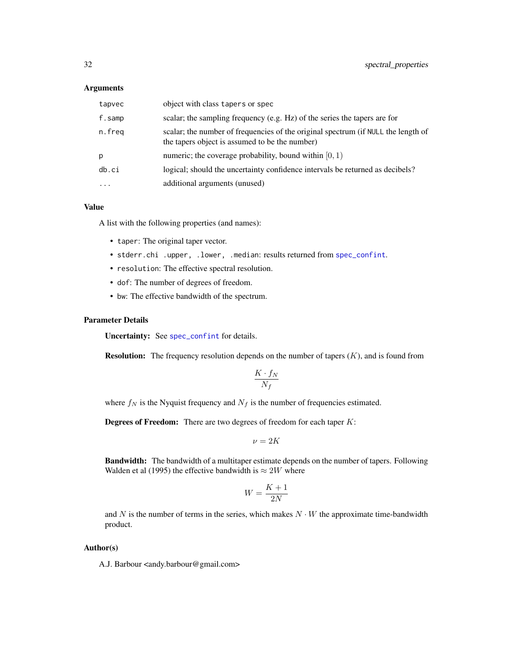#### <span id="page-31-0"></span>Arguments

| tapvec   | object with class tapers or spec                                                                                                    |
|----------|-------------------------------------------------------------------------------------------------------------------------------------|
| f.samp   | scalar; the sampling frequency (e.g. Hz) of the series the tapers are for                                                           |
| n.freq   | scalar; the number of frequencies of the original spectrum (if NULL the length of<br>the tapers object is assumed to be the number) |
| p        | numeric; the coverage probability, bound within $[0, 1)$                                                                            |
| db.ci    | logical; should the uncertainty confidence intervals be returned as decibels?                                                       |
| $\cdots$ | additional arguments (unused)                                                                                                       |

### Value

A list with the following properties (and names):

- taper: The original taper vector.
- stderr.chi .upper, .lower, .median: results returned from [spec\\_confint](#page-34-1).
- resolution: The effective spectral resolution.
- dof: The number of degrees of freedom.
- bw: The effective bandwidth of the spectrum.

#### Parameter Details

Uncertainty: See [spec\\_confint](#page-34-1) for details.

**Resolution:** The frequency resolution depends on the number of tapers  $(K)$ , and is found from

$$
\frac{K \cdot f_N}{N_f}
$$

where  $f_N$  is the Nyquist frequency and  $N_f$  is the number of frequencies estimated.

**Degrees of Freedom:** There are two degrees of freedom for each taper  $K$ :

$$
\nu=2K
$$

Bandwidth: The bandwidth of a multitaper estimate depends on the number of tapers. Following Walden et al (1995) the effective bandwidth is  $\approx 2W$  where

$$
W = \frac{K+1}{2N}
$$

and  $N$  is the number of terms in the series, which makes  $N \cdot W$  the approximate time-bandwidth product.

### Author(s)

A.J. Barbour <andy.barbour@gmail.com>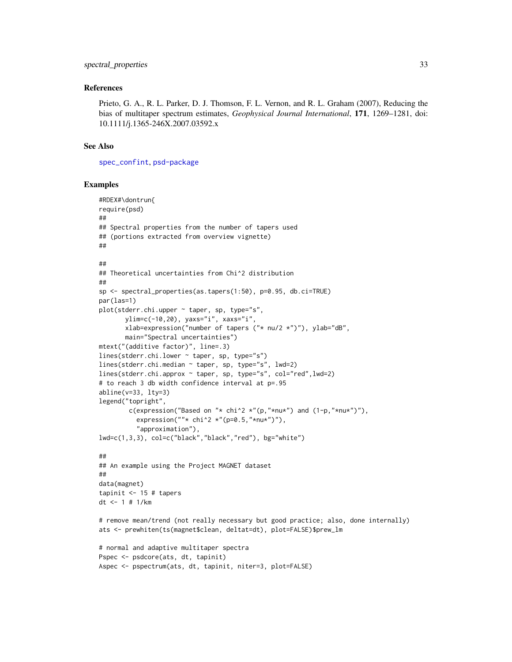### <span id="page-32-0"></span>spectral\_properties 33

#### References

Prieto, G. A., R. L. Parker, D. J. Thomson, F. L. Vernon, and R. L. Graham (2007), Reducing the bias of multitaper spectrum estimates, *Geophysical Journal International*, 171, 1269–1281, doi: 10.1111/j.1365-246X.2007.03592.x

### See Also

[spec\\_confint](#page-34-1), [psd-package](#page-1-1)

#### Examples

```
#RDEX#\dontrun{
require(psd)
##
## Spectral properties from the number of tapers used
## (portions extracted from overview vignette)
##
##
## Theoretical uncertainties from Chi^2 distribution
##
sp <- spectral_properties(as.tapers(1:50), p=0.95, db.ci=TRUE)
par(las=1)
plot(stderr.chi.upper ~ taper, sp, type="s",
       ylim=c(-10,20), yaxs="i", xaxs="i",
       xlab=expression("number of tapers ("* nu/2 *")"), ylab="dB",
       main="Spectral uncertainties")
mtext("(additive factor)", line=.3)
lines(stderr.chi.lower ~ taper, sp, type="s")
lines(stderr.chi.median ~ taper, sp, type="s", lwd=2)
lines(stderr.chi.approx ~ taper, sp, type="s", col="red",lwd=2)
# to reach 3 db width confidence interval at p=.95
abline(v=33, lty=3)
legend("topright",
        c(expression("Based on "* chi^2 *"(p,"*nu*") and (1-p, "*nu*")"),
          expression(""* chi^2 *"(p=0.5,"*nu*")"),
          "approximation"),
lwd=c(1,3,3), col=c("black","black","red"), bg="white")
##
## An example using the Project MAGNET dataset
##
data(magnet)
tapinit <- 15 # tapers
dt <- 1 # 1/km
# remove mean/trend (not really necessary but good practice; also, done internally)
ats <- prewhiten(ts(magnet$clean, deltat=dt), plot=FALSE)$prew_lm
# normal and adaptive multitaper spectra
Pspec <- psdcore(ats, dt, tapinit)
Aspec <- pspectrum(ats, dt, tapinit, niter=3, plot=FALSE)
```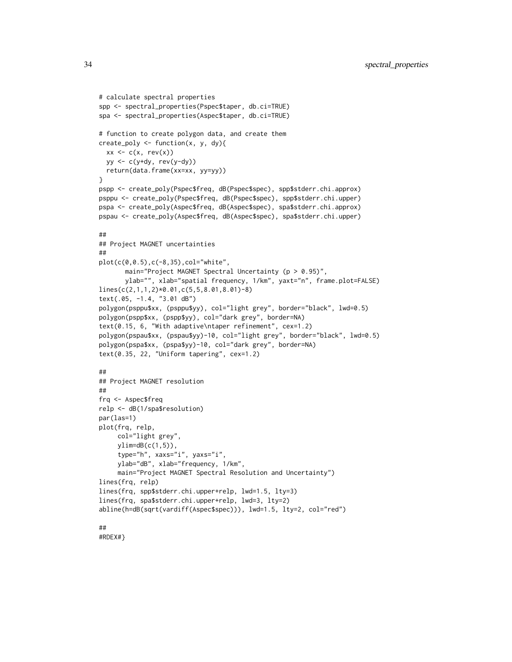```
# calculate spectral properties
spp <- spectral_properties(Pspec$taper, db.ci=TRUE)
spa <- spectral_properties(Aspec$taper, db.ci=TRUE)
# function to create polygon data, and create them
create_poly \leq function(x, y, dy){
  xx \leq c(x, rev(x))yy \leftarrow c(y+dy, rev(y-dy))return(data.frame(xx=xx, yy=yy))
}
pspp <- create_poly(Pspec$freq, dB(Pspec$spec), spp$stderr.chi.approx)
psppu <- create_poly(Pspec$freq, dB(Pspec$spec), spp$stderr.chi.upper)
pspa <- create_poly(Aspec$freq, dB(Aspec$spec), spa$stderr.chi.approx)
pspau <- create_poly(Aspec$freq, dB(Aspec$spec), spa$stderr.chi.upper)
##
## Project MAGNET uncertainties
##
plot(c(0,0.5),c(-8,35),col="white",
       main="Project MAGNET Spectral Uncertainty (p > 0.95)",
       ylab="", xlab="spatial frequency, 1/km", yaxt="n", frame.plot=FALSE)
lines(c(2,1,1,2)*0.01,c(5,5,8.01,8.01)-8)
text(.05, -1.4, "3.01 dB")
polygon(psppu$xx, (psppu$yy), col="light grey", border="black", lwd=0.5)
polygon(pspp$xx, (pspp$yy), col="dark grey", border=NA)
text(0.15, 6, "With adaptive\ntaper refinement", cex=1.2)
polygon(pspau$xx, (pspau$yy)-10, col="light grey", border="black", lwd=0.5)
polygon(pspa$xx, (pspa$yy)-10, col="dark grey", border=NA)
text(0.35, 22, "Uniform tapering", cex=1.2)
##
## Project MAGNET resolution
##
frq <- Aspec$freq
relp <- dB(1/spa$resolution)
par(las=1)
plot(frq, relp,
     col="light grey",
     ylim=dB(c(1,5)),
     type="h", xaxs="i", yaxs="i",
     ylab="dB", xlab="frequency, 1/km",
     main="Project MAGNET Spectral Resolution and Uncertainty")
lines(frq, relp)
lines(frq, spp$stderr.chi.upper+relp, lwd=1.5, lty=3)
lines(frq, spa$stderr.chi.upper+relp, lwd=3, lty=2)
abline(h=dB(sqrt(vardiff(Aspec$spec))), lwd=1.5, lty=2, col="red")
##
```

```
#RDEX#}
```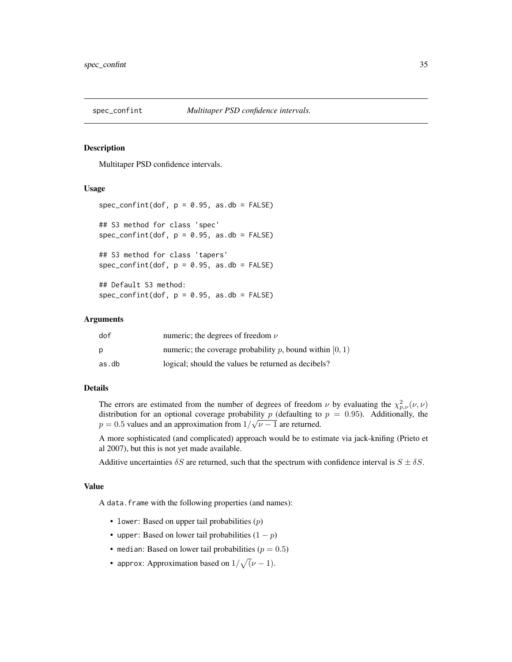<span id="page-34-1"></span><span id="page-34-0"></span>

#### Description

Multitaper PSD confidence intervals.

#### Usage

```
spec\_confint(dof, p = 0.95, as.db = FALSE)## S3 method for class 'spec'
spec\_confint(dof, p = 0.95, as.db = FALSE)## S3 method for class 'tapers'
spec\_confint(dof, p = 0.95, as.db = FALSE)
```
## Default S3 method:  $spec\_confint(dof, p = 0.95, as.db = FALSE)$ 

#### Arguments

| dof   | numeric; the degrees of freedom $\nu$                      |
|-------|------------------------------------------------------------|
| D     | numeric; the coverage probability p, bound within $[0, 1)$ |
| as.db | logical; should the values be returned as decibels?        |

### Details

The errors are estimated from the number of degrees of freedom  $\nu$  by evaluating the  $\chi^2_{p,\nu}(\nu,\nu)$ distribution for an optional coverage probability p (defaulting to  $p = 0.95$ ). Additionally, the  $p = 0.5$  values and an approximation from  $1/\sqrt{\nu - 1}$  are returned.

A more sophisticated (and complicated) approach would be to estimate via jack-knifing (Prieto et al 2007), but this is not yet made available.

Additive uncertainties  $\delta S$  are returned, such that the spectrum with confidence interval is  $S \pm \delta S$ .

#### Value

A data.frame with the following properties (and names):

- lower: Based on upper tail probabilities  $(p)$
- upper: Based on lower tail probabilities  $(1 p)$
- median: Based on lower tail probabilities ( $p = 0.5$ )
- approx: Approximation based on  $1/\sqrt{(\nu-1)}$ .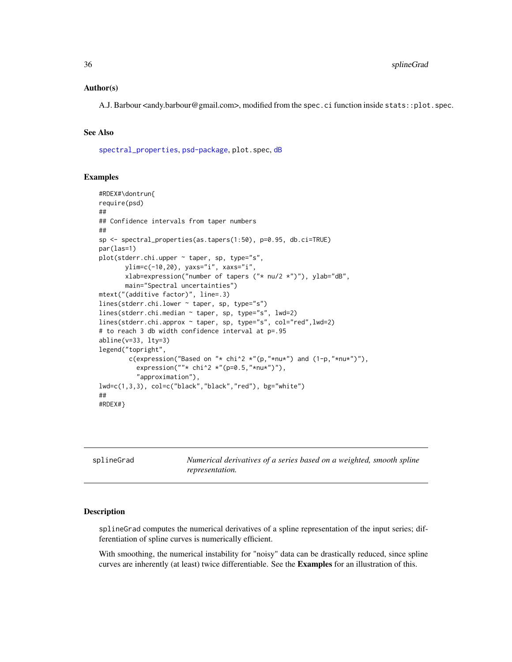### <span id="page-35-0"></span>Author(s)

A.J. Barbour <andy.barbour@gmail.com>, modified from the spec.ci function inside stats::plot.spec.

#### See Also

[spectral\\_properties](#page-30-1), [psd-package](#page-1-1), plot.spec, [dB](#page-18-1)

### Examples

```
#RDEX#\dontrun{
require(psd)
##
## Confidence intervals from taper numbers
##
sp <- spectral_properties(as.tapers(1:50), p=0.95, db.ci=TRUE)
par(las=1)
plot(stderr.chi.upper ~ taper, sp, type="s",
       ylim=c(-10,20), yaxs="i", xaxs="i",
       xlab=expression("number of tapers ("* nu/2 *")"), ylab="dB",
       main="Spectral uncertainties")
mtext("(additive factor)", line=.3)
lines(stderr.chi.lower ~ taper, sp, type="s")
lines(stderr.chi.median ~ taper, sp, type="s", lwd=2)
lines(stderr.chi.approx ~ taper, sp, type="s", col="red",lwd=2)
# to reach 3 db width confidence interval at p=.95
abline(v=33, lty=3)
legend("topright",
        c(expression("Based on "* chi^2 *"(p,"*nu*") and (1-p, "*nu*")"),
          expression(" "* chi^2 * " (p=0.5," *nu*")","approximation"),
lwd=c(1,3,3), col=c("black","black","red"), bg="white")
##
#RDEX#}
```
<span id="page-35-1"></span>

|  | splineGrad |  |
|--|------------|--|
|  |            |  |

Numerical derivatives of a series based on a weighted, smooth spline *representation.*

### **Description**

splineGrad computes the numerical derivatives of a spline representation of the input series; differentiation of spline curves is numerically efficient.

With smoothing, the numerical instability for "noisy" data can be drastically reduced, since spline curves are inherently (at least) twice differentiable. See the **Examples** for an illustration of this.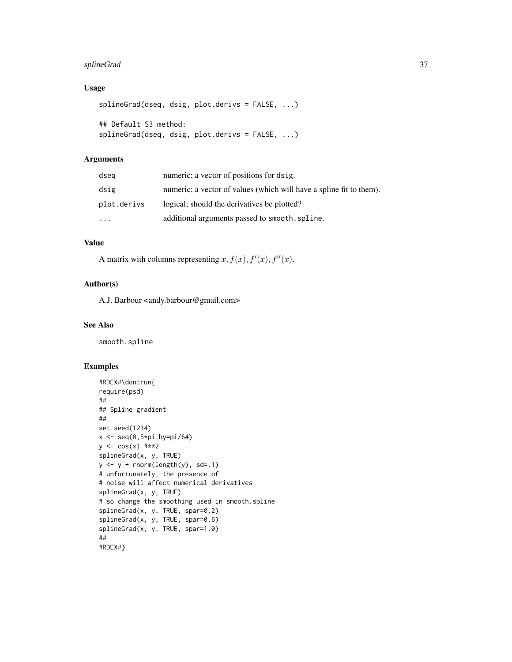### splineGrad 37

### Usage

```
splineGrad(dseq, dsig, plot.derivs = FALSE, ...)
## Default S3 method:
splineGrad(dseq, dsig, plot.derivs = FALSE, ...)
```
### Arguments

| dseg        | numeric; a vector of positions for dsig.                            |
|-------------|---------------------------------------------------------------------|
| dsig        | numeric; a vector of values (which will have a spline fit to them). |
| plot.derivs | logical; should the derivatives be plotted?                         |
| $\ddotsc$   | additional arguments passed to smooth. spline.                      |

### Value

A matrix with columns representing  $x, f(x), f'(x), f''(x)$ .

### Author(s)

A.J. Barbour <andy.barbour@gmail.com>

### See Also

smooth.spline

### Examples

```
#RDEX#\dontrun{
require(psd)
##
## Spline gradient
##
set.seed(1234)
x \leftarrow \text{seq}(0, 5 \text{ * pi}, \text{by=pi}/64)y \leq \cos(x) #**2
splineGrad(x, y, TRUE)
y \leftarrow y + \text{norm}(\text{length}(y), \text{ sd} = .1)# unfortunately, the presence of
# noise will affect numerical derivatives
splineGrad(x, y, TRUE)
# so change the smoothing used in smooth.spline
splineGrad(x, y, TRUE, spar=0.2)
splineGrad(x, y, TRUE, spar=0.6)
splineGrad(x, y, TRUE, spar=1.0)
##
#RDEX#}
```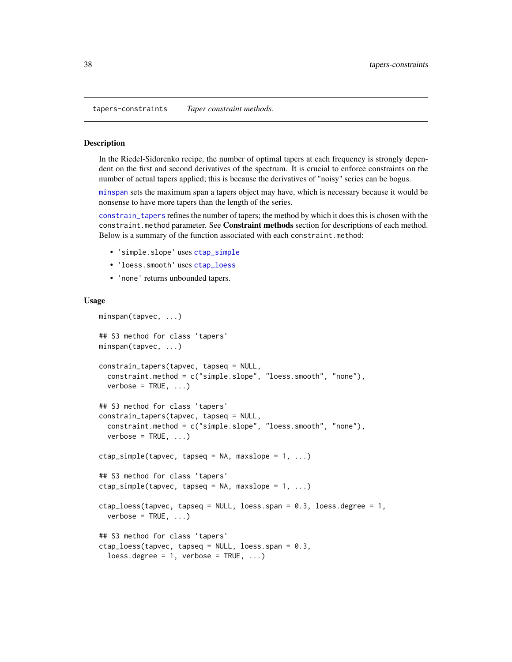<span id="page-37-0"></span>tapers-constraints *Taper constraint methods.*

#### <span id="page-37-1"></span>**Description**

In the Riedel-Sidorenko recipe, the number of optimal tapers at each frequency is strongly dependent on the first and second derivatives of the spectrum. It is crucial to enforce constraints on the number of actual tapers applied; this is because the derivatives of "noisy" series can be bogus.

[minspan](#page-37-1) sets the maximum span a tapers object may have, which is necessary because it would be nonsense to have more tapers than the length of the series.

[constrain\\_tapers](#page-37-1) refines the number of tapers; the method by which it does this is chosen with the constraint.method parameter. See Constraint methods section for descriptions of each method. Below is a summary of the function associated with each constraint.method:

- 'simple.slope' uses [ctap\\_simple](#page-37-1)
- 'loess.smooth' uses [ctap\\_loess](#page-37-1)
- 'none' returns unbounded tapers.

#### Usage

```
minspan(tapvec, ...)
## S3 method for class 'tapers'
minspan(tapvec, ...)
constrain_tapers(tapvec, tapseq = NULL,
  constraint.method = c("simple.slope", "loess.smooth", "none"),
  verbose = TRUE, ...)## S3 method for class 'tapers'
constrain_tapers(tapvec, tapseq = NULL,
  constraint.method = c("simple.slope", "loess.smooth", "none"),
  verbose = TRUE, ...)ctap\_simple(tapvec, tapseq = NA, maxslope = 1, ...)## S3 method for class 'tapers'
ctap\_simple(tapvec, tapseq = NA, maxslope = 1, ...)ctap_loess(tapvec, tapseq = NULL, loess.span = 0.3, loess.degree = 1,
  verbase = TRUE, ...## S3 method for class 'tapers'
ctap_loess(tapvec, tapseq = NULL, loess.span = 0.3,
  loess.degree = 1, verbose = TRUE, ...)
```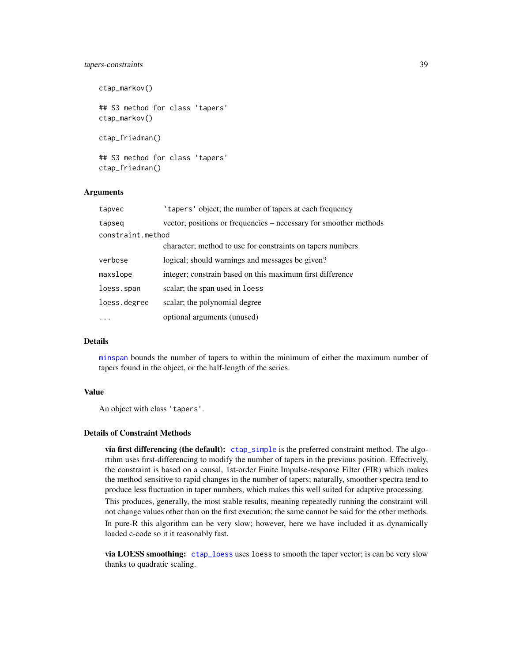### <span id="page-38-0"></span>tapers-constraints 39

```
ctap_markov()
## S3 method for class 'tapers'
ctap_markov()
ctap_friedman()
## S3 method for class 'tapers'
ctap_friedman()
```
### Arguments

| tapvec            | 'tapers' object; the number of tapers at each frequency           |  |
|-------------------|-------------------------------------------------------------------|--|
| tapseq            | vector; positions or frequencies – necessary for smoother methods |  |
| constraint.method |                                                                   |  |
|                   | character; method to use for constraints on tapers numbers        |  |
| verbose           | logical; should warnings and messages be given?                   |  |
| maxslope          | integer; constrain based on this maximum first difference         |  |
| loess.span        | scalar; the span used in loess                                    |  |
| loess.degree      | scalar; the polynomial degree                                     |  |
|                   | optional arguments (unused)                                       |  |

### Details

[minspan](#page-37-1) bounds the number of tapers to within the minimum of either the maximum number of tapers found in the object, or the half-length of the series.

#### Value

An object with class 'tapers'.

### Details of Constraint Methods

via first differencing (the default): [ctap\\_simple](#page-37-1) is the preferred constraint method. The algortihm uses first-differencing to modify the number of tapers in the previous position. Effectively, the constraint is based on a causal, 1st-order Finite Impulse-response Filter (FIR) which makes the method sensitive to rapid changes in the number of tapers; naturally, smoother spectra tend to produce less fluctuation in taper numbers, which makes this well suited for adaptive processing.

This produces, generally, the most stable results, meaning repeatedly running the constraint will not change values other than on the first execution; the same cannot be said for the other methods.

In pure-R this algorithm can be very slow; however, here we have included it as dynamically loaded c-code so it it reasonably fast.

via LOESS smoothing: [ctap\\_loess](#page-37-1) uses loess to smooth the taper vector; is can be very slow thanks to quadratic scaling.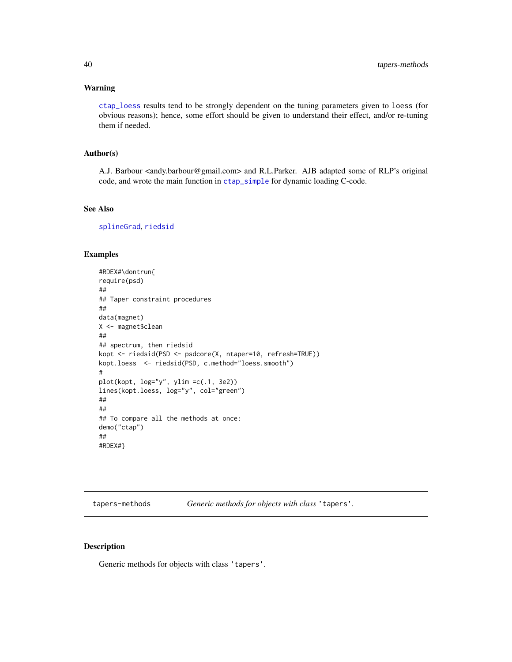#### <span id="page-39-0"></span>Warning

[ctap\\_loess](#page-37-1) results tend to be strongly dependent on the tuning parameters given to loess (for obvious reasons); hence, some effort should be given to understand their effect, and/or re-tuning them if needed.

#### Author(s)

A.J. Barbour <andy.barbour@gmail.com> and R.L.Parker. AJB adapted some of RLP's original code, and wrote the main function in [ctap\\_simple](#page-37-1) for dynamic loading C-code.

#### See Also

[splineGrad](#page-35-1), [riedsid](#page-27-1)

### Examples

```
#RDEX#\dontrun{
require(psd)
##
## Taper constraint procedures
##
data(magnet)
X <- magnet$clean
##
## spectrum, then riedsid
kopt <- riedsid(PSD <- psdcore(X, ntaper=10, refresh=TRUE))
kopt.loess <- riedsid(PSD, c.method="loess.smooth")
#
plot(kopt, log="y", ylim =c(.1, 3e2))
lines(kopt.loess, log="y", col="green")
##
##
## To compare all the methods at once:
demo("ctap")
##
#RDEX#}
```
tapers-methods *Generic methods for objects with class* 'tapers'*.*

### Description

Generic methods for objects with class 'tapers'.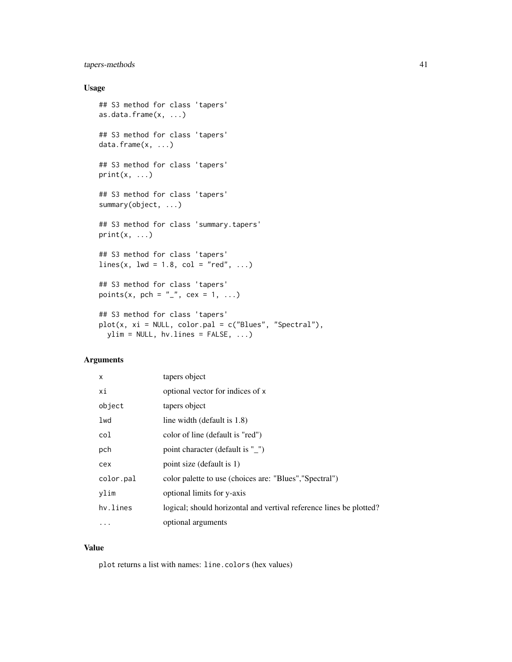### tapers-methods 41

### Usage

```
## S3 method for class 'tapers'
as.data.frame(x, ...)
## S3 method for class 'tapers'
data.frame(x, ...)
## S3 method for class 'tapers'
print(x, \ldots)## S3 method for class 'tapers'
summary(object, ...)
## S3 method for class 'summary.tapers'
print(x, \ldots)## S3 method for class 'tapers'
lines(x, \text{ lwd} = 1.8, \text{ col} = "red", ...)## S3 method for class 'tapers'
points(x, pch = "_", cex = 1, ...)
## S3 method for class 'tapers'
plot(x, xi = NULL, color.path = c("Blues", "Spectral"),ylim = NULL, hv.lines = FALSE, ...)
```
### Arguments

| x         | tapers object                                                       |
|-----------|---------------------------------------------------------------------|
| хi        | optional vector for indices of x                                    |
| object    | tapers object                                                       |
| lwd       | line width (default is 1.8)                                         |
| col       | color of line (default is "red")                                    |
| pch       | point character (default is "_")                                    |
| cex       | point size (default is 1)                                           |
| color.pal | color palette to use (choices are: "Blues", "Spectral")             |
| ylim      | optional limits for y-axis                                          |
| hy.lines  | logical; should horizontal and vertival reference lines be plotted? |
| $\cdots$  | optional arguments                                                  |

### Value

plot returns a list with names: line.colors (hex values)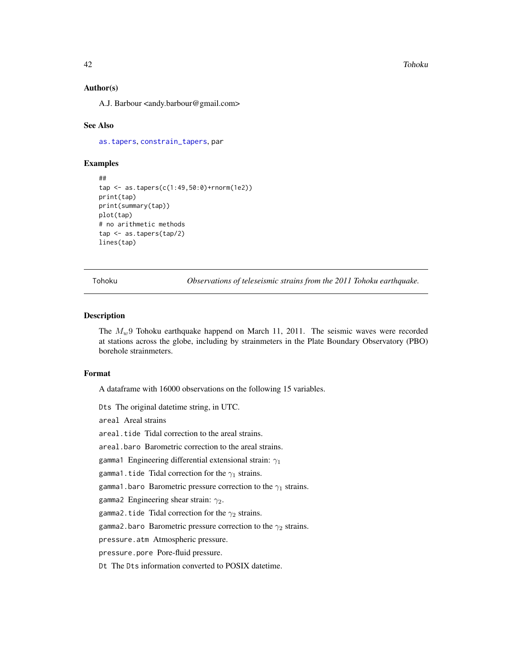#### <span id="page-41-0"></span>Author(s)

A.J. Barbour <andy.barbour@gmail.com>

#### See Also

[as.tapers](#page-3-1), [constrain\\_tapers](#page-37-1), par

### Examples

```
##
tap <- as.tapers(c(1:49,50:0)+rnorm(1e2))
print(tap)
print(summary(tap))
plot(tap)
# no arithmetic methods
tap <- as.tapers(tap/2)
lines(tap)
```
Tohoku *Observations of teleseismic strains from the 2011 Tohoku earthquake.*

#### Description

The  $M_w$ 9 Tohoku earthquake happend on March 11, 2011. The seismic waves were recorded at stations across the globe, including by strainmeters in the Plate Boundary Observatory (PBO) borehole strainmeters.

### Format

A dataframe with 16000 observations on the following 15 variables.

Dts The original datetime string, in UTC.

areal Areal strains

areal.tide Tidal correction to the areal strains.

areal.baro Barometric correction to the areal strains.

gamma1 Engineering differential extensional strain:  $\gamma_1$ 

gamma1.tide Tidal correction for the  $\gamma_1$  strains.

gamma1.baro Barometric pressure correction to the  $\gamma_1$  strains.

gamma2 Engineering shear strain:  $\gamma_2$ .

gamma2.tide Tidal correction for the  $\gamma_2$  strains.

gamma2.baro Barometric pressure correction to the  $\gamma_2$  strains.

pressure.atm Atmospheric pressure.

pressure.pore Pore-fluid pressure.

Dt The Dts information converted to POSIX datetime.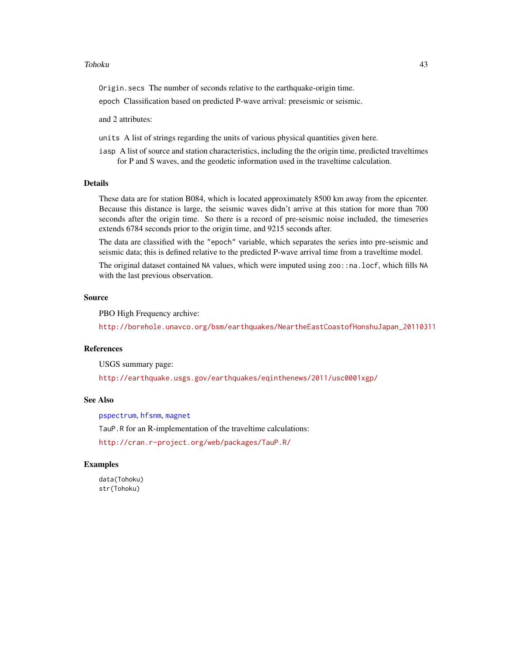#### <span id="page-42-0"></span>Tohoku 43

Origin.secs The number of seconds relative to the earthquake-origin time.

epoch Classification based on predicted P-wave arrival: preseismic or seismic.

and 2 attributes:

- units A list of strings regarding the units of various physical quantities given here.
- iasp A list of source and station characteristics, including the the origin time, predicted traveltimes for P and S waves, and the geodetic information used in the traveltime calculation.

### Details

These data are for station B084, which is located approximately 8500 km away from the epicenter. Because this distance is large, the seismic waves didn't arrive at this station for more than 700 seconds after the origin time. So there is a record of pre-seismic noise included, the timeseries extends 6784 seconds prior to the origin time, and 9215 seconds after.

The data are classified with the "epoch" variable, which separates the series into pre-seismic and seismic data; this is defined relative to the predicted P-wave arrival time from a traveltime model.

The original dataset contained NA values, which were imputed using zoo::na.locf, which fills NA with the last previous observation.

#### Source

PBO High Frequency archive:

[http://borehole.unavco.org/bsm/earthquakes/NeartheEastCoastofHonshuJapan\\_20110311](http://borehole.unavco.org/bsm/earthquakes/NeartheEastCoastofHonshuJapan_20110311)

### References

USGS summary page:

<http://earthquake.usgs.gov/earthquakes/eqinthenews/2011/usc0001xgp/>

#### See Also

[pspectrum](#page-24-1), [hfsnm](#page-4-1), [magnet](#page-5-1)

TauP.R for an R-implementation of the traveltime calculations:

<http://cran.r-project.org/web/packages/TauP.R/>

### Examples

data(Tohoku) str(Tohoku)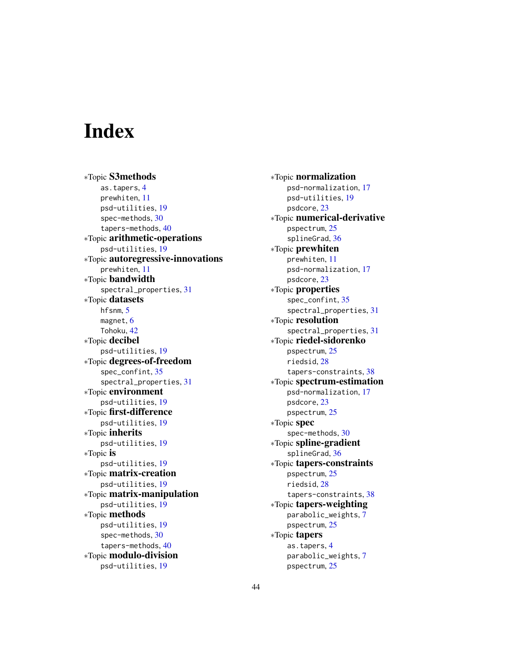## <span id="page-43-0"></span>Index

∗Topic S3methods as.tapers, [4](#page-3-0) prewhiten, [11](#page-10-0) psd-utilities, [19](#page-18-0) spec-methods, [30](#page-29-0) tapers-methods, [40](#page-39-0) ∗Topic arithmetic-operations psd-utilities, [19](#page-18-0) ∗Topic autoregressive-innovations prewhiten, [11](#page-10-0) ∗Topic bandwidth spectral\_properties, [31](#page-30-0) ∗Topic datasets hfsnm, [5](#page-4-0) magnet, [6](#page-5-0) Tohoku, [42](#page-41-0) ∗Topic decibel psd-utilities, [19](#page-18-0) ∗Topic degrees-of-freedom spec\_confint, [35](#page-34-0) spectral\_properties, [31](#page-30-0) ∗Topic environment psd-utilities, [19](#page-18-0) ∗Topic first-difference psd-utilities, [19](#page-18-0) ∗Topic inherits psd-utilities, [19](#page-18-0) ∗Topic is psd-utilities, [19](#page-18-0) ∗Topic matrix-creation psd-utilities, [19](#page-18-0) ∗Topic matrix-manipulation psd-utilities, [19](#page-18-0) ∗Topic methods psd-utilities, [19](#page-18-0) spec-methods, [30](#page-29-0) tapers-methods, [40](#page-39-0) ∗Topic modulo-division psd-utilities, [19](#page-18-0)

∗Topic normalization psd-normalization, [17](#page-16-0) psd-utilities, [19](#page-18-0) psdcore, [23](#page-22-0) ∗Topic numerical-derivative pspectrum, [25](#page-24-0) splineGrad, [36](#page-35-0) ∗Topic prewhiten prewhiten, [11](#page-10-0) psd-normalization, [17](#page-16-0) psdcore, [23](#page-22-0) ∗Topic properties spec\_confint, [35](#page-34-0) spectral\_properties, [31](#page-30-0) ∗Topic resolution spectral\_properties, [31](#page-30-0) ∗Topic riedel-sidorenko pspectrum, [25](#page-24-0) riedsid, [28](#page-27-0) tapers-constraints, [38](#page-37-0) ∗Topic spectrum-estimation psd-normalization, [17](#page-16-0) psdcore, [23](#page-22-0) pspectrum, [25](#page-24-0) ∗Topic spec spec-methods, [30](#page-29-0) ∗Topic spline-gradient splineGrad, [36](#page-35-0) ∗Topic tapers-constraints pspectrum, [25](#page-24-0) riedsid, [28](#page-27-0) tapers-constraints, [38](#page-37-0) ∗Topic tapers-weighting parabolic\_weights, [7](#page-6-0) pspectrum, [25](#page-24-0) ∗Topic tapers as.tapers, [4](#page-3-0) parabolic\_weights, [7](#page-6-0) pspectrum, [25](#page-24-0)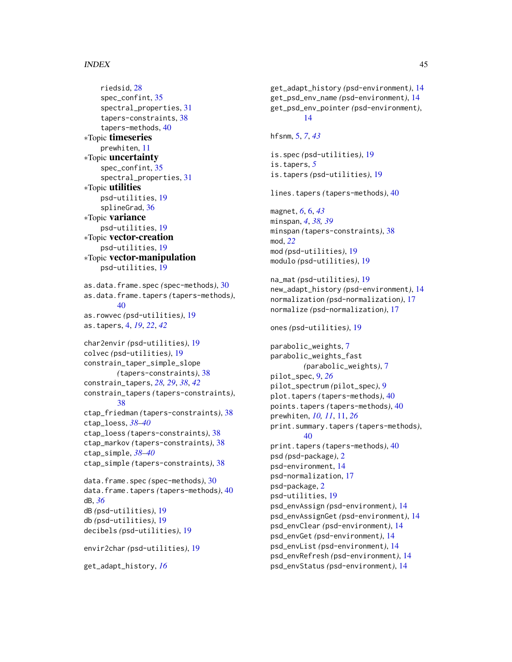### INDEX 45

```
riedsid, 28
    spec_confint, 35
    spectral_properties, 31
    tapers-constraints, 38
    tapers-methods, 40
∗Topic timeseries
    prewhiten, 11
∗Topic uncertainty
    spec_confint, 35
    spectral_properties, 31
∗Topic utilities
    psd-utilities, 19
    splineGrad, 36
∗Topic variance
    psd-utilities, 19
∗Topic vector-creation
    psd-utilities, 19
∗Topic vector-manipulation
    psd-utilities, 19
as.data.frame.spec (spec-methods), 30
as.data.frame.tapers (tapers-methods),
        40
as.rowvec (psd-utilities), 19
as.tapers, 4, 19, 22, 42
char2envir (psd-utilities), 19
colvec (psd-utilities), 19
constrain_taper_simple_slope
        (tapers-constraints), 38
constrain_tapers, 28, 29, 38, 42
constrain_tapers (tapers-constraints),
        38
ctap_friedman (tapers-constraints), 38
ctap_loess, 38–40
ctap_loess (tapers-constraints), 38
ctap_markov (tapers-constraints), 38
ctap_simple, 38–40
ctap_simple (tapers-constraints), 38
data.frame.spec (spec-methods), 30
data.frame.tapers (tapers-methods), 40
dB, 36
dB (psd-utilities), 19
db (psd-utilities), 19
decibels (psd-utilities), 19
envir2char (psd-utilities), 19
get_adapt_history, 16
```

```
get_psd_env_name (psd-environment), 14
get_psd_env_pointer (psd-environment),
        14
hfsnm, 5, 7, 43
is.spec (psd-utilities), 19
is.tapers, 5
is.tapers (psd-utilities), 19
lines.tapers (tapers-methods), 40
magnet, 6, 6, 43
minspan, 4, 38, 39
minspan (tapers-constraints), 38
mod, 22
mod (psd-utilities), 19
modulo (psd-utilities), 19
na_mat (psd-utilities), 19
new_adapt_history (psd-environment), 14
normalization (psd-normalization), 17
normalize (psd-normalization), 17
ones (psd-utilities), 19
parabolic_weights, 7
parabolic_weights_fast
        (parabolic_weights), 7
pilot_spec, 9, 26
pilot_spectrum (pilot_spec), 9
plot.tapers (tapers-methods), 40
```
points.tapers *(*tapers-methods*)*, [40](#page-39-0)

print.tapers *(*tapers-methods*)*, [40](#page-39-0)

psd\_envAssign *(*psd-environment*)*, [14](#page-13-0) psd\_envAssignGet *(*psd-environment*)*, [14](#page-13-0) psd\_envClear *(*psd-environment*)*, [14](#page-13-0) psd\_envGet *(*psd-environment*)*, [14](#page-13-0) psd\_envList *(*psd-environment*)*, [14](#page-13-0) psd\_envRefresh *(*psd-environment*)*, [14](#page-13-0) psd\_envStatus *(*psd-environment*)*, [14](#page-13-0)

print.summary.tapers *(*tapers-methods*)*,

prewhiten, *[10,](#page-9-0) [11](#page-10-0)*, [11,](#page-10-0) *[26](#page-25-0)*

[40](#page-39-0)

psd *(*psd-package*)*, [2](#page-1-0) psd-environment, [14](#page-13-0) psd-normalization, [17](#page-16-0)

psd-package, [2](#page-1-0) psd-utilities, [19](#page-18-0)

get\_adapt\_history *(*psd-environment*)*, [14](#page-13-0)